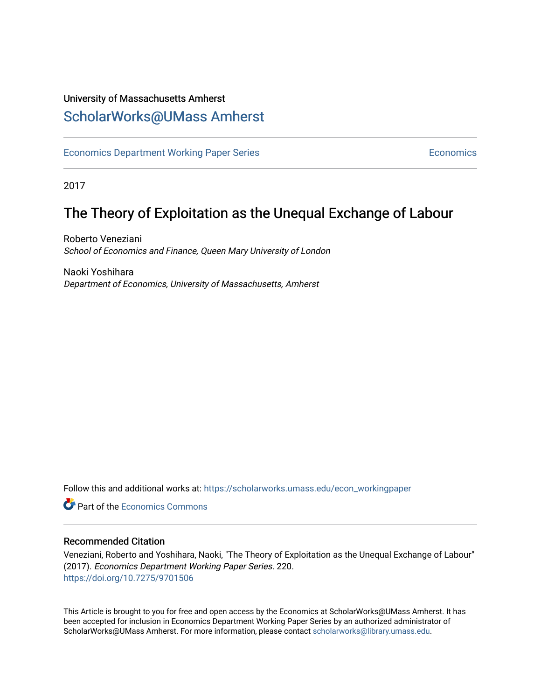#### University of Massachusetts Amherst [ScholarWorks@UMass Amherst](https://scholarworks.umass.edu/)

[Economics Department Working Paper Series](https://scholarworks.umass.edu/econ_workingpaper) **Economics** [Economics](https://scholarworks.umass.edu/economics) Economics

2017

### The Theory of Exploitation as the Unequal Exchange of Labour

Roberto Veneziani School of Economics and Finance, Queen Mary University of London

Naoki Yoshihara Department of Economics, University of Massachusetts, Amherst

Follow this and additional works at: [https://scholarworks.umass.edu/econ\\_workingpaper](https://scholarworks.umass.edu/econ_workingpaper?utm_source=scholarworks.umass.edu%2Fecon_workingpaper%2F220&utm_medium=PDF&utm_campaign=PDFCoverPages) 

**C** Part of the [Economics Commons](http://network.bepress.com/hgg/discipline/340?utm_source=scholarworks.umass.edu%2Fecon_workingpaper%2F220&utm_medium=PDF&utm_campaign=PDFCoverPages)

#### Recommended Citation

Veneziani, Roberto and Yoshihara, Naoki, "The Theory of Exploitation as the Unequal Exchange of Labour" (2017). Economics Department Working Paper Series. 220. <https://doi.org/10.7275/9701506>

This Article is brought to you for free and open access by the Economics at ScholarWorks@UMass Amherst. It has been accepted for inclusion in Economics Department Working Paper Series by an authorized administrator of ScholarWorks@UMass Amherst. For more information, please contact [scholarworks@library.umass.edu.](mailto:scholarworks@library.umass.edu)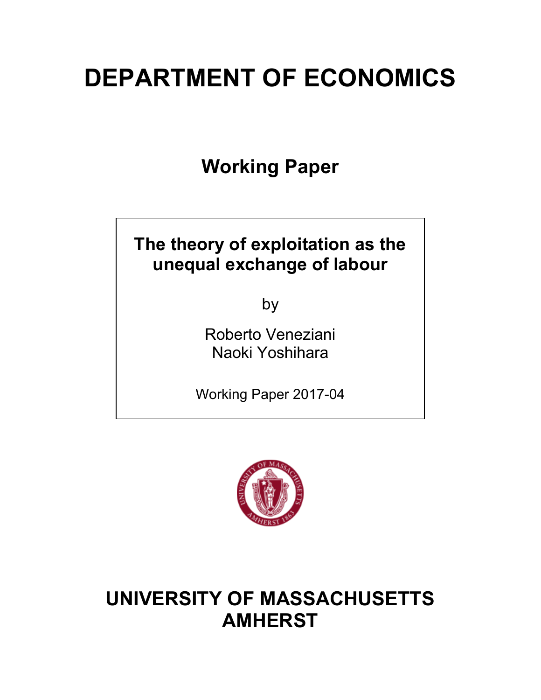# **DEPARTMENT OF ECONOMICS**

**Working Paper**

## **The theory of exploitation as the unequal exchange of labour**

by

Roberto Veneziani Naoki Yoshihara

Working Paper 2017-04



# **UNIVERSITY OF MASSACHUSETTS AMHERST**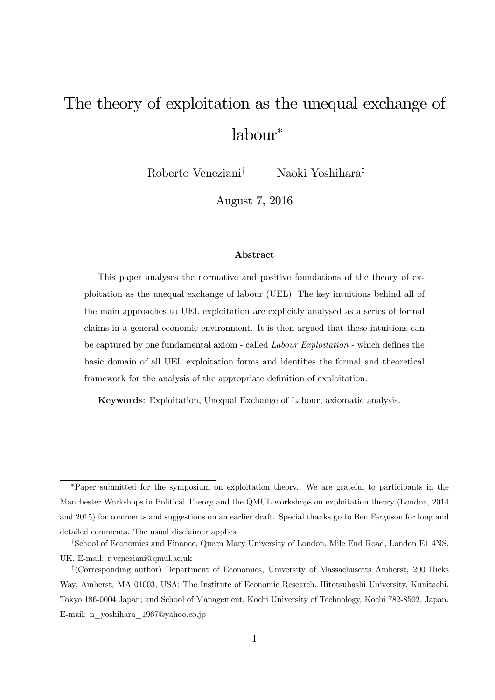# The theory of exploitation as the unequal exchange of labour<sup>∗</sup>

Roberto Veneziani† Naoki Yoshihara‡

August 7, 2016

#### Abstract

This paper analyses the normative and positive foundations of the theory of exploitation as the unequal exchange of labour (UEL). The key intuitions behind all of the main approaches to UEL exploitation are explicitly analysed as a series of formal claims in a general economic environment. It is then argued that these intuitions can be captured by one fundamental axiom - called Labour Exploitation - which defines the basic domain of all UEL exploitation forms and identifies the formal and theoretical framework for the analysis of the appropriate definition of exploitation.

Keywords: Exploitation, Unequal Exchange of Labour, axiomatic analysis.

<sup>∗</sup>Paper submitted for the symposium on exploitation theory. We are grateful to participants in the Manchester Workshops in Political Theory and the QMUL workshops on exploitation theory (London, 2014 and 2015) for comments and suggestions on an earlier draft. Special thanks go to Ben Ferguson for long and detailed comments. The usual disclaimer applies.

<sup>†</sup>School of Economics and Finance, Queen Mary University of London, Mile End Road, London E1 4NS, UK. E-mail: r.veneziani@qmul.ac.uk

<sup>‡</sup>(Corresponding author) Department of Economics, University of Massachusetts Amherst, 200 Hicks Way, Amherst, MA 01003, USA; The Institute of Economic Research, Hitotsubashi University, Kunitachi, Tokyo 186-0004 Japan; and School of Management, Kochi University of Technology, Kochi 782-8502, Japan. E-mail: n\_yoshihara\_1967@yahoo.co.jp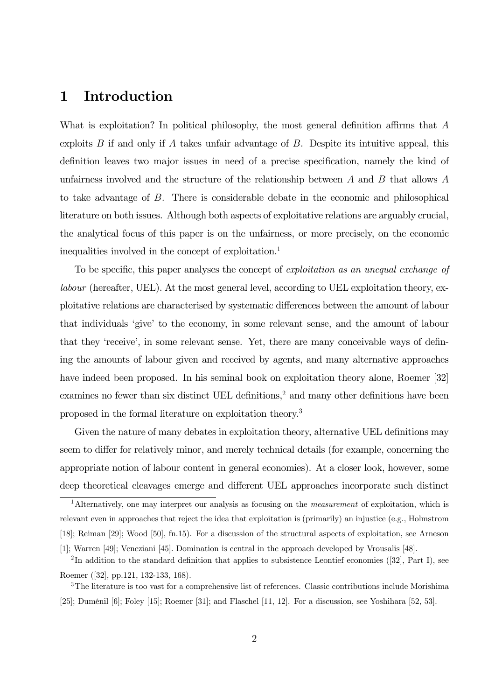#### 1 Introduction

What is exploitation? In political philosophy, the most general definition affirms that A exploits  $B$  if and only if  $A$  takes unfair advantage of  $B$ . Despite its intuitive appeal, this definition leaves two major issues in need of a precise specification, namely the kind of unfairness involved and the structure of the relationship between  $A$  and  $B$  that allows  $A$ to take advantage of B. There is considerable debate in the economic and philosophical literature on both issues. Although both aspects of exploitative relations are arguably crucial, the analytical focus of this paper is on the unfairness, or more precisely, on the economic inequalities involved in the concept of exploitation.<sup>1</sup>

To be specific, this paper analyses the concept of exploitation as an unequal exchange of labour (hereafter, UEL). At the most general level, according to UEL exploitation theory, exploitative relations are characterised by systematic differences between the amount of labour that individuals 'give' to the economy, in some relevant sense, and the amount of labour that they 'receive', in some relevant sense. Yet, there are many conceivable ways of defining the amounts of labour given and received by agents, and many alternative approaches have indeed been proposed. In his seminal book on exploitation theory alone, Roemer [32] examines no fewer than six distinct UEL definitions,<sup>2</sup> and many other definitions have been proposed in the formal literature on exploitation theory.3

Given the nature of many debates in exploitation theory, alternative UEL definitions may seem to differ for relatively minor, and merely technical details (for example, concerning the appropriate notion of labour content in general economies). At a closer look, however, some deep theoretical cleavages emerge and different UEL approaches incorporate such distinct

<sup>&</sup>lt;sup>1</sup>Alternatively, one may interpret our analysis as focusing on the *measurement* of exploitation, which is relevant even in approaches that reject the idea that exploitation is (primarily) an injustice (e.g., Holmstrom [18]; Reiman [29]; Wood [50], fn.15). For a discussion of the structural aspects of exploitation, see Arneson [1]; Warren [49]; Veneziani [45]. Domination is central in the approach developed by Vrousalis [48].

<sup>&</sup>lt;sup>2</sup>In addition to the standard definition that applies to subsistence Leontief economies ([32], Part I), see Roemer ([32], pp.121, 132-133, 168).

<sup>&</sup>lt;sup>3</sup>The literature is too vast for a comprehensive list of references. Classic contributions include Morishima [25]; Duménil [6]; Foley [15]; Roemer [31]; and Flaschel [11, 12]. For a discussion, see Yoshihara [52, 53].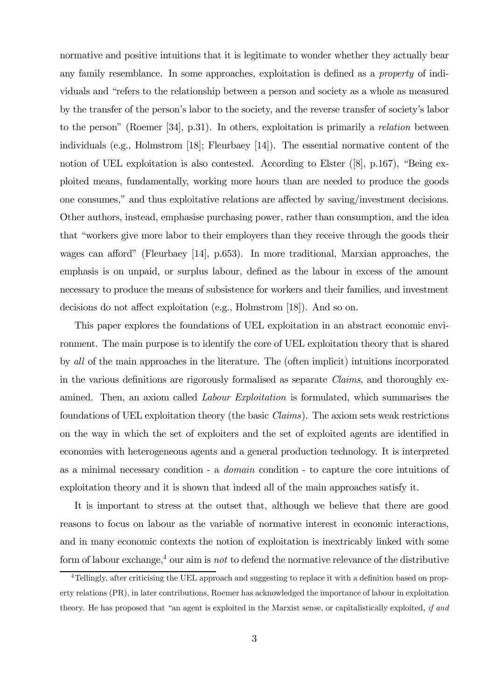normative and positive intuitions that it is legitimate to wonder whether they actually bear any family resemblance. In some approaches, exploitation is defined as a property of individuals and "refers to the relationship between a person and society as a whole as measured by the transfer of the person's labor to the society, and the reverse transfer of society's labor to the person" (Roemer [34], p.31). In others, exploitation is primarily a relation between individuals (e.g., Holmstrom [18]; Fleurbaey [14]). The essential normative content of the notion of UEL exploitation is also contested. According to Elster ([8], p.167), "Being exploited means, fundamentally, working more hours than are needed to produce the goods one consumes," and thus exploitative relations are affected by saving/investment decisions. Other authors, instead, emphasise purchasing power, rather than consumption, and the idea that "workers give more labor to their employers than they receive through the goods their wages can afford" (Fleurbaey [14], p.653). In more traditional, Marxian approaches, the emphasis is on unpaid, or surplus labour, defined as the labour in excess of the amount necessary to produce the means of subsistence for workers and their families, and investment decisions do not affect exploitation (e.g., Holmstrom [18]). And so on.

This paper explores the foundations of UEL exploitation in an abstract economic environment. The main purpose is to identify the core of UEL exploitation theory that is shared by all of the main approaches in the literature. The (often implicit) intuitions incorporated in the various definitions are rigorously formalised as separate Claims, and thoroughly examined. Then, an axiom called Labour Exploitation is formulated, which summarises the foundations of UEL exploitation theory (the basic Claims). The axiom sets weak restrictions on the way in which the set of exploiters and the set of exploited agents are identified in economies with heterogeneous agents and a general production technology. It is interpreted as a minimal necessary condition - a domain condition - to capture the core intuitions of exploitation theory and it is shown that indeed all of the main approaches satisfy it.

It is important to stress at the outset that, although we believe that there are good reasons to focus on labour as the variable of normative interest in economic interactions, and in many economic contexts the notion of exploitation is inextricably linked with some form of labour exchange,<sup>4</sup> our aim is *not* to defend the normative relevance of the distributive

<sup>4</sup>Tellingly, after criticising the UEL approach and suggesting to replace it with a definition based on property relations (PR), in later contributions, Roemer has acknowledged the importance of labour in exploitation theory. He has proposed that "an agent is exploited in the Marxist sense, or capitalistically exploited, if and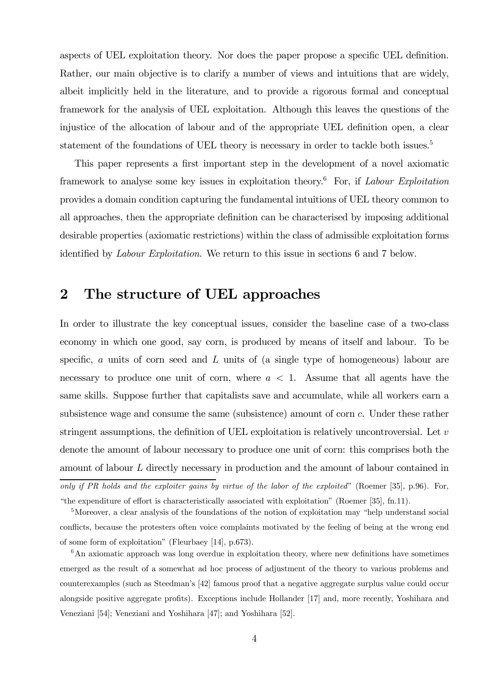aspects of UEL exploitation theory. Nor does the paper propose a specific UEL definition. Rather, our main objective is to clarify a number of views and intuitions that are widely, albeit implicitly held in the literature, and to provide a rigorous formal and conceptual framework for the analysis of UEL exploitation. Although this leaves the questions of the injustice of the allocation of labour and of the appropriate UEL definition open, a clear statement of the foundations of UEL theory is necessary in order to tackle both issues.<sup>5</sup>

This paper represents a first important step in the development of a novel axiomatic framework to analyse some key issues in exploitation theory.6 For, if Labour Exploitation provides a domain condition capturing the fundamental intuitions of UEL theory common to all approaches, then the appropriate definition can be characterised by imposing additional desirable properties (axiomatic restrictions) within the class of admissible exploitation forms identified by Labour Exploitation. We return to this issue in sections 6 and 7 below.

#### 2 The structure of UEL approaches

In order to illustrate the key conceptual issues, consider the baseline case of a two-class economy in which one good, say corn, is produced by means of itself and labour. To be specific, a units of corn seed and L units of (a single type of homogeneous) labour are necessary to produce one unit of corn, where  $a < 1$ . Assume that all agents have the same skills. Suppose further that capitalists save and accumulate, while all workers earn a subsistence wage and consume the same (subsistence) amount of corn c. Under these rather stringent assumptions, the definition of UEL exploitation is relatively uncontroversial. Let  $v$ denote the amount of labour necessary to produce one unit of corn: this comprises both the amount of labour L directly necessary in production and the amount of labour contained in only if PR holds and the exploiter gains by virtue of the labor of the exploited" (Roemer [35], p.96). For, "the expenditure of effort is characteristically associated with exploitation" (Roemer [35], fn.11).

 $6$ An axiomatic approach was long overdue in exploitation theory, where new definitions have sometimes emerged as the result of a somewhat ad hoc process of adjustment of the theory to various problems and counterexamples (such as Steedman's [42] famous proof that a negative aggregate surplus value could occur alongside positive aggregate profits). Exceptions include Hollander [17] and, more recently, Yoshihara and Veneziani [54]; Veneziani and Yoshihara [47]; and Yoshihara [52].

<sup>&</sup>lt;sup>5</sup>Moreover, a clear analysis of the foundations of the notion of exploitation may "help understand social" conflicts, because the protesters often voice complaints motivated by the feeling of being at the wrong end of some form of exploitation" (Fleurbaey [14], p.673).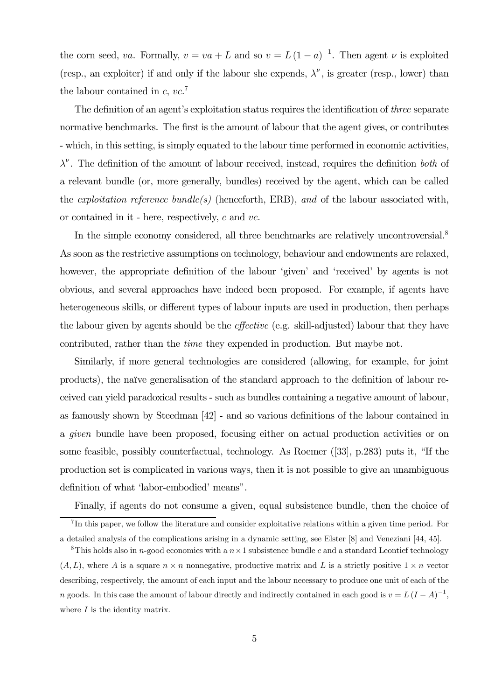the corn seed, va. Formally,  $v = va + L$  and so  $v = L(1 - a)^{-1}$ . Then agent  $\nu$  is exploited (resp., an exploiter) if and only if the labour she expends,  $\lambda^{\nu}$ , is greater (resp., lower) than the labour contained in  $c, vc$ .<sup>7</sup>

The definition of an agent's exploitation status requires the identification of *three* separate normative benchmarks. The first is the amount of labour that the agent gives, or contributes - which, in this setting, is simply equated to the labour time performed in economic activities,  $\lambda^{\nu}$ . The definition of the amount of labour received, instead, requires the definition both of a relevant bundle (or, more generally, bundles) received by the agent, which can be called the *exploitation reference bundle(s)* (henceforth, ERB), and of the labour associated with, or contained in it - here, respectively, c and vc.

In the simple economy considered, all three benchmarks are relatively uncontroversial.<sup>8</sup> As soon as the restrictive assumptions on technology, behaviour and endowments are relaxed, however, the appropriate definition of the labour 'given' and 'received' by agents is not obvious, and several approaches have indeed been proposed. For example, if agents have heterogeneous skills, or different types of labour inputs are used in production, then perhaps the labour given by agents should be the effective (e.g. skill-adjusted) labour that they have contributed, rather than the time they expended in production. But maybe not.

Similarly, if more general technologies are considered (allowing, for example, for joint products), the naïve generalisation of the standard approach to the definition of labour received can yield paradoxical results - such as bundles containing a negative amount of labour, as famously shown by Steedman [42] - and so various definitions of the labour contained in a given bundle have been proposed, focusing either on actual production activities or on some feasible, possibly counterfactual, technology. As Roemer ([33], p.283) puts it, "If the production set is complicated in various ways, then it is not possible to give an unambiguous definition of what 'labor-embodied' means".

Finally, if agents do not consume a given, equal subsistence bundle, then the choice of

<sup>&</sup>lt;sup>7</sup>In this paper, we follow the literature and consider exploitative relations within a given time period. For a detailed analysis of the complications arising in a dynamic setting, see Elster [8] and Veneziani [44, 45].

<sup>&</sup>lt;sup>8</sup>This holds also in n-good economies with a  $n \times 1$  subsistence bundle c and a standard Leontief technology  $(A, L)$ , where A is a square  $n \times n$  nonnegative, productive matrix and L is a strictly positive  $1 \times n$  vector describing, respectively, the amount of each input and the labour necessary to produce one unit of each of the n goods. In this case the amount of labour directly and indirectly contained in each good is  $v = L(I - A)^{-1}$ , where  $I$  is the identity matrix.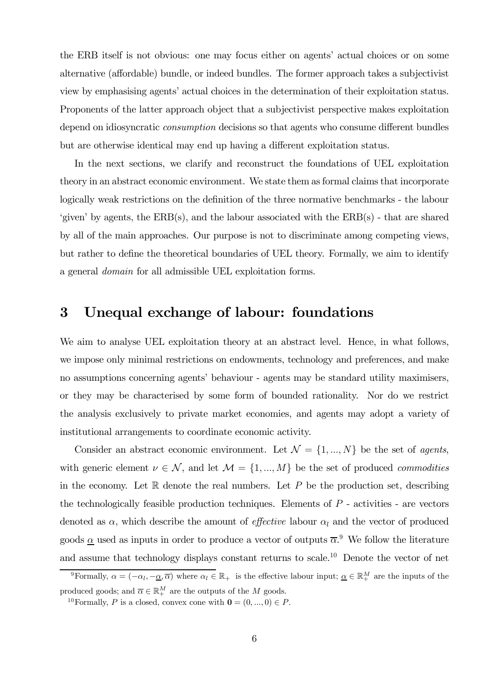the ERB itself is not obvious: one may focus either on agents' actual choices or on some alternative (affordable) bundle, or indeed bundles. The former approach takes a subjectivist view by emphasising agents' actual choices in the determination of their exploitation status. Proponents of the latter approach object that a subjectivist perspective makes exploitation depend on idiosyncratic *consumption* decisions so that agents who consume different bundles but are otherwise identical may end up having a different exploitation status.

In the next sections, we clarify and reconstruct the foundations of UEL exploitation theory in an abstract economic environment. We state them as formal claims that incorporate logically weak restrictions on the definition of the three normative benchmarks - the labour 'given' by agents, the  $ERB(s)$ , and the labour associated with the  $ERB(s)$  - that are shared by all of the main approaches. Our purpose is not to discriminate among competing views, but rather to define the theoretical boundaries of UEL theory. Formally, we aim to identify a general domain for all admissible UEL exploitation forms.

#### 3 Unequal exchange of labour: foundations

We aim to analyse UEL exploitation theory at an abstract level. Hence, in what follows, we impose only minimal restrictions on endowments, technology and preferences, and make no assumptions concerning agents' behaviour - agents may be standard utility maximisers, or they may be characterised by some form of bounded rationality. Nor do we restrict the analysis exclusively to private market economies, and agents may adopt a variety of institutional arrangements to coordinate economic activity.

Consider an abstract economic environment. Let  $\mathcal{N} = \{1, ..., N\}$  be the set of agents, with generic element  $\nu \in \mathcal{N}$ , and let  $\mathcal{M} = \{1, ..., M\}$  be the set of produced *commodities* in the economy. Let  $\mathbb R$  denote the real numbers. Let  $P$  be the production set, describing the technologically feasible production techniques. Elements of  $P$  - activities - are vectors denoted as  $\alpha$ , which describe the amount of *effective* labour  $\alpha_l$  and the vector of produced goods  $\underline{\alpha}$  used as inputs in order to produce a vector of outputs  $\overline{\alpha}$ . We follow the literature and assume that technology displays constant returns to scale.10 Denote the vector of net

<sup>&</sup>lt;sup>9</sup>Formally,  $\alpha = (-\alpha_l, -\underline{\alpha}, \overline{\alpha})$  where  $\alpha_l \in \mathbb{R}_+$  is the effective labour input;  $\underline{\alpha} \in \mathbb{R}_+^M$  are the inputs of the produced goods; and  $\overline{\alpha} \in \mathbb{R}_+^M$  are the outputs of the M goods.

<sup>&</sup>lt;sup>10</sup>Formally, P is a closed, convex cone with  $\mathbf{0} = (0, ..., 0) \in P$ .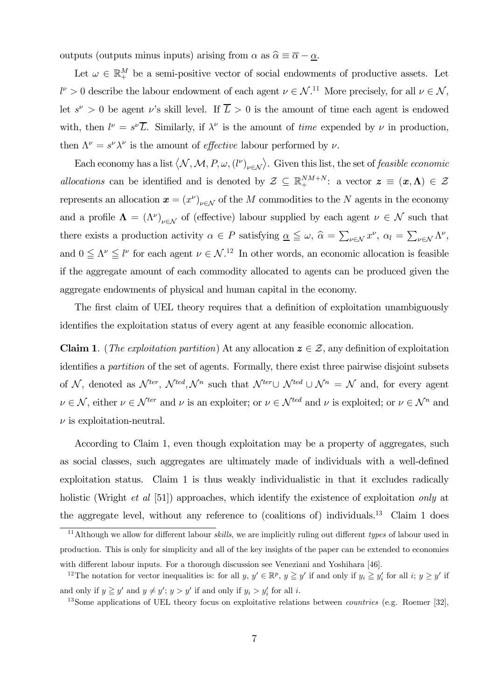outputs (outputs minus inputs) arising from  $\alpha$  as  $\hat{\alpha} \equiv \overline{\alpha} - \underline{\alpha}$ .

Let  $\omega \in \mathbb{R}_+^M$  be a semi-positive vector of social endowments of productive assets. Let  $l^{\nu} > 0$  describe the labour endowment of each agent  $\nu \in \mathcal{N}$ .<sup>11</sup> More precisely, for all  $\nu \in \mathcal{N}$ , let  $s^{\nu} > 0$  be agent  $\nu$ 's skill level. If  $\overline{L} > 0$  is the amount of time each agent is endowed with, then  $l^{\nu} = s^{\nu} \overline{L}$ . Similarly, if  $\lambda^{\nu}$  is the amount of *time* expended by  $\nu$  in production, then  $\Lambda^{\nu} = s^{\nu} \lambda^{\nu}$  is the amount of *effective* labour performed by  $\nu$ .

Each economy has a list  $\langle N, M, P, \omega, (l^{\nu})_{\nu \in \mathcal{N}} \rangle$ . Given this list, the set of *feasible economic* allocations can be identified and is denoted by  $\mathcal{Z} \subseteq \mathbb{R}^{NM+N}$ : a vector  $\mathbf{z} \equiv (\mathbf{x}, \mathbf{\Lambda}) \in \mathcal{Z}$ represents an allocation  $x = (x^{\nu})_{\nu \in \mathcal{N}}$  of the M commodities to the N agents in the economy and a profile  $\Lambda = (\Lambda^{\nu})_{\nu \in \mathcal{N}}$  of (effective) labour supplied by each agent  $\nu \in \mathcal{N}$  such that there exists a production activity  $\alpha \in P$  satisfying  $\underline{\alpha} \leq \omega$ ,  $\widehat{\alpha} = \sum_{\nu \in \mathcal{N}} x^{\nu}$ ,  $\alpha_l = \sum_{\nu \in \mathcal{N}} \Lambda^{\nu}$ , and  $0 \le \Lambda^{\nu} \le l^{\nu}$  for each agent  $\nu \in \mathcal{N}^{12}$  In other words, an economic allocation is feasible if the aggregate amount of each commodity allocated to agents can be produced given the aggregate endowments of physical and human capital in the economy.

The first claim of UEL theory requires that a definition of exploitation unambiguously identifies the exploitation status of every agent at any feasible economic allocation.

**Claim 1.** (*The exploitation partition*) At any allocation  $z \in \mathcal{Z}$ , any definition of exploitation identifies a partition of the set of agents. Formally, there exist three pairwise disjoint subsets of N, denoted as  $\mathcal{N}^{ter}$ ,  $\mathcal{N}^{ted}$ ,  $\mathcal{N}^{n}$  such that  $\mathcal{N}^{ter} \cup \mathcal{N}^{ted} \cup \mathcal{N}^{n} = \mathcal{N}$  and, for every agent  $\nu \in \mathcal{N}$ , either  $\nu \in \mathcal{N}^{ter}$  and  $\nu$  is an exploiter; or  $\nu \in \mathcal{N}^{ted}$  and  $\nu$  is exploited; or  $\nu \in \mathcal{N}^n$  and  $\nu$  is exploitation-neutral.

According to Claim 1, even though exploitation may be a property of aggregates, such as social classes, such aggregates are ultimately made of individuals with a well-defined exploitation status. Claim 1 is thus weakly individualistic in that it excludes radically holistic (Wright *et al* [51]) approaches, which identify the existence of exploitation *only* at the aggregate level, without any reference to (coalitions of) individuals.<sup>13</sup> Claim 1 does

<sup>&</sup>lt;sup>11</sup>Although we allow for different labour *skills*, we are implicitly ruling out different types of labour used in production. This is only for simplicity and all of the key insights of the paper can be extended to economies with different labour inputs. For a thorough discussion see Veneziani and Yoshihara [46].

<sup>&</sup>lt;sup>12</sup>The notation for vector inequalities is: for all y,  $y' \in \mathbb{R}^p$ ,  $y \geq y'$  if and only if  $y_i \geq y'_i$  for all  $i; y \geq y'$  if and only if  $y \geq y'$  and  $y \neq y'$ ;  $y > y'$  if and only if  $y_i > y'_i$  for all i.

<sup>&</sup>lt;sup>13</sup>Some applications of UEL theory focus on exploitative relations between *countries* (e.g. Roemer [32],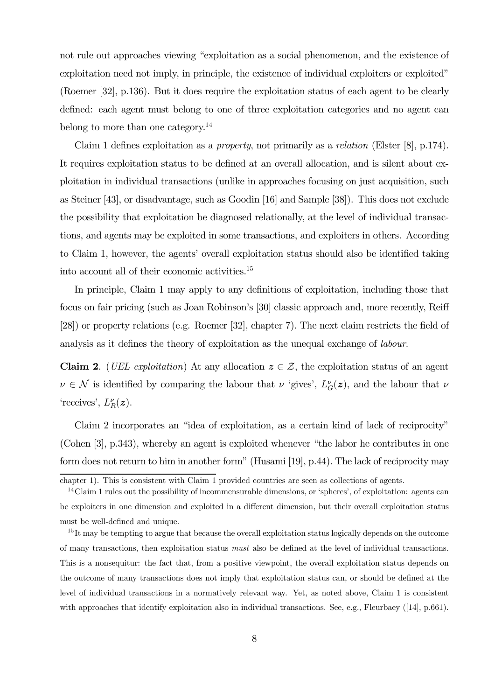not rule out approaches viewing "exploitation as a social phenomenon, and the existence of exploitation need not imply, in principle, the existence of individual exploiters or exploited" (Roemer [32], p.136). But it does require the exploitation status of each agent to be clearly defined: each agent must belong to one of three exploitation categories and no agent can belong to more than one category.<sup>14</sup>

Claim 1 defines exploitation as a property, not primarily as a relation (Elster [8], p.174). It requires exploitation status to be defined at an overall allocation, and is silent about exploitation in individual transactions (unlike in approaches focusing on just acquisition, such as Steiner [43], or disadvantage, such as Goodin [16] and Sample [38]). This does not exclude the possibility that exploitation be diagnosed relationally, at the level of individual transactions, and agents may be exploited in some transactions, and exploiters in others. According to Claim 1, however, the agents' overall exploitation status should also be identified taking into account all of their economic activities.15

In principle, Claim 1 may apply to any definitions of exploitation, including those that focus on fair pricing (such as Joan Robinson's [30] classic approach and, more recently, Reiff [28]) or property relations (e.g. Roemer [32], chapter 7). The next claim restricts the field of analysis as it defines the theory of exploitation as the unequal exchange of labour.

**Claim 2.** (*UEL exploitation*) At any allocation  $z \in \mathcal{Z}$ , the exploitation status of an agent  $\nu \in \mathcal{N}$  is identified by comparing the labour that  $\nu$  'gives',  $L_G^{\nu}(z)$ , and the labour that  $\nu$ 'receives',  $L_R^{\nu}(z)$ .

Claim 2 incorporates an "idea of exploitation, as a certain kind of lack of reciprocity" (Cohen [3], p.343), whereby an agent is exploited whenever "the labor he contributes in one form does not return to him in another form" (Husami [19], p.44). The lack of reciprocity may

chapter 1). This is consistent with Claim 1 provided countries are seen as collections of agents.

 $14$ Claim 1 rules out the possibility of incommensurable dimensions, or 'spheres', of exploitation: agents can be exploiters in one dimension and exploited in a different dimension, but their overall exploitation status must be well-defined and unique.

<sup>&</sup>lt;sup>15</sup>It may be tempting to argue that because the overall exploitation status logically depends on the outcome of many transactions, then exploitation status must also be defined at the level of individual transactions. This is a nonsequitur: the fact that, from a positive viewpoint, the overall exploitation status depends on the outcome of many transactions does not imply that exploitation status can, or should be defined at the level of individual transactions in a normatively relevant way. Yet, as noted above, Claim 1 is consistent with approaches that identify exploitation also in individual transactions. See, e.g., Fleurbaey ([14], p.661).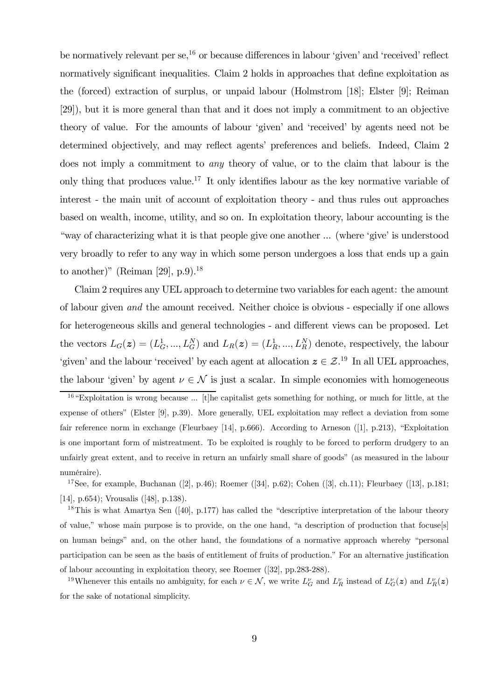be normatively relevant per  $\mathfrak{se},^{16}$  or because differences in labour 'given' and 'received' reflect normatively significant inequalities. Claim 2 holds in approaches that define exploitation as the (forced) extraction of surplus, or unpaid labour (Holmstrom [18]; Elster [9]; Reiman [29]), but it is more general than that and it does not imply a commitment to an objective theory of value. For the amounts of labour 'given' and 'received' by agents need not be determined objectively, and may reflect agents' preferences and beliefs. Indeed, Claim 2 does not imply a commitment to any theory of value, or to the claim that labour is the only thing that produces value.17 It only identifies labour as the key normative variable of interest - the main unit of account of exploitation theory - and thus rules out approaches based on wealth, income, utility, and so on. In exploitation theory, labour accounting is the "way of characterizing what it is that people give one another ... (where 'give' is understood very broadly to refer to any way in which some person undergoes a loss that ends up a gain to another)" (Reiman [29],  $p.9$ ).<sup>18</sup>

Claim 2 requires any UEL approach to determine two variables for each agent: the amount of labour given and the amount received. Neither choice is obvious - especially if one allows for heterogeneous skills and general technologies - and different views can be proposed. Let the vectors  $L_G(z) = (L_G^1, ..., L_G^N)$  and  $L_R(z) = (L_R^1, ..., L_R^N)$  denote, respectively, the labour 'given' and the labour 'received' by each agent at allocation  $z \in \mathcal{Z}^{19}$  In all UEL approaches, the labour 'given' by agent  $\nu \in \mathcal{N}$  is just a scalar. In simple economies with homogeneous

<sup>&</sup>lt;sup>16</sup> "Exploitation is wrong because ... [t]he capitalist gets something for nothing, or much for little, at the expense of others" (Elster [9], p.39). More generally, UEL exploitation may reflect a deviation from some fair reference norm in exchange (Fleurbaey [14], p.666). According to Arneson ([1], p.213), "Exploitation is one important form of mistreatment. To be exploited is roughly to be forced to perform drudgery to an unfairly great extent, and to receive in return an unfairly small share of goods" (as measured in the labour numéraire).

<sup>&</sup>lt;sup>17</sup>See, for example, Buchanan ([2], p.46); Roemer ([34], p.62); Cohen ([3], ch.11); Fleurbaey ([13], p.181; [14], p.654); Vrousalis ([48], p.138).

<sup>&</sup>lt;sup>18</sup>This is what Amartya Sen  $(40, p.177)$  has called the "descriptive interpretation of the labour theory of value," whose main purpose is to provide, on the one hand, "a description of production that focuse[s] on human beings" and, on the other hand, the foundations of a normative approach whereby "personal participation can be seen as the basis of entitlement of fruits of production." For an alternative justification of labour accounting in exploitation theory, see Roemer ([32], pp.283-288).

<sup>&</sup>lt;sup>19</sup>Whenever this entails no ambiguity, for each  $\nu \in \mathcal{N}$ , we write  $L_G^{\nu}$  and  $L_R^{\nu}$  instead of  $L_G^{\nu}(z)$  and  $L_R^{\nu}(z)$ for the sake of notational simplicity.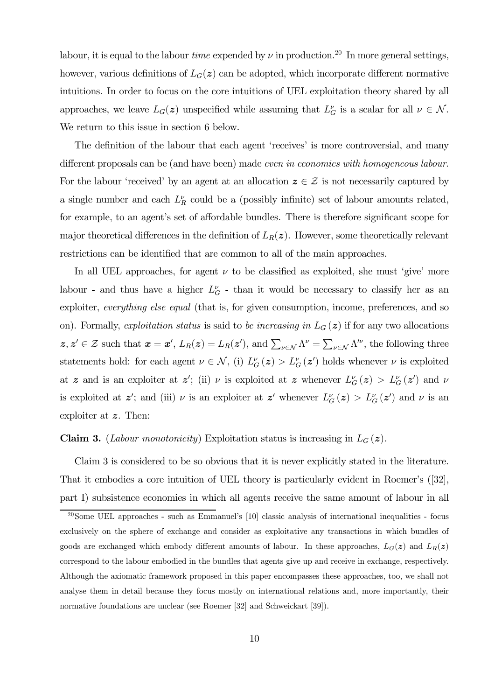labour, it is equal to the labour *time* expended by  $\nu$  in production.<sup>20</sup> In more general settings, however, various definitions of  $L_G(z)$  can be adopted, which incorporate different normative intuitions. In order to focus on the core intuitions of UEL exploitation theory shared by all approaches, we leave  $L_G(z)$  unspecified while assuming that  $L_G^{\nu}$  is a scalar for all  $\nu \in \mathcal{N}$ . We return to this issue in section 6 below.

The definition of the labour that each agent 'receives' is more controversial, and many different proposals can be (and have been) made even in economies with homogeneous labour. For the labour 'received' by an agent at an allocation  $z \in \mathcal{Z}$  is not necessarily captured by a single number and each  $L_R^{\nu}$  could be a (possibly infinite) set of labour amounts related, for example, to an agent's set of affordable bundles. There is therefore significant scope for major theoretical differences in the definition of  $L_R(z)$ . However, some theoretically relevant restrictions can be identified that are common to all of the main approaches.

In all UEL approaches, for agent  $\nu$  to be classified as exploited, she must 'give' more labour - and thus have a higher  $L_G^{\nu}$  - than it would be necessary to classify her as an exploiter, everything else equal (that is, for given consumption, income, preferences, and so on). Formally, exploitation status is said to be increasing in  $L_G(z)$  if for any two allocations  $z, z' \in \mathcal{Z}$  such that  $x = x'$ ,  $L_R(z) = L_R(z')$ , and  $\sum_{\nu \in \mathcal{N}} \Lambda^{\nu} = \sum_{\nu \in \mathcal{N}} \Lambda^{\nu}$ , the following three statements hold: for each agent  $\nu \in \mathcal{N}$ , (i)  $L_G^{\nu}(\mathbf{z}) > L_G^{\nu}(\mathbf{z}')$  holds whenever  $\nu$  is exploited at z and is an exploiter at z'; (ii)  $\nu$  is exploited at z whenever  $L_G^{\nu}(z) > L_G^{\nu}(z')$  and  $\nu$ is exploited at  $z'$ ; and (iii)  $\nu$  is an exploiter at  $z'$  whenever  $L_G^{\nu}(z) > L_G^{\nu}(z')$  and  $\nu$  is an exploiter at z. Then:

#### **Claim 3.** (*Labour monotonicity*) Exploitation status is increasing in  $L_G(z)$ .

Claim 3 is considered to be so obvious that it is never explicitly stated in the literature. That it embodies a core intuition of UEL theory is particularly evident in Roemer's ([32], part I) subsistence economies in which all agents receive the same amount of labour in all

 $^{20}$ Some UEL approaches - such as Emmanuel's [10] classic analysis of international inequalities - focus exclusively on the sphere of exchange and consider as exploitative any transactions in which bundles of goods are exchanged which embody different amounts of labour. In these approaches,  $L_G(z)$  and  $L_R(z)$ correspond to the labour embodied in the bundles that agents give up and receive in exchange, respectively. Although the axiomatic framework proposed in this paper encompasses these approaches, too, we shall not analyse them in detail because they focus mostly on international relations and, more importantly, their normative foundations are unclear (see Roemer [32] and Schweickart [39]).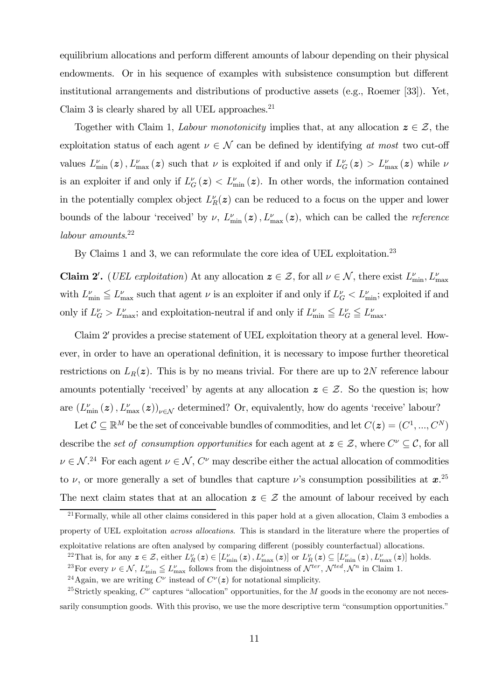equilibrium allocations and perform different amounts of labour depending on their physical endowments. Or in his sequence of examples with subsistence consumption but different institutional arrangements and distributions of productive assets (e.g., Roemer [33]). Yet, Claim 3 is clearly shared by all UEL approaches. $^{21}$ 

Together with Claim 1, Labour monotonicity implies that, at any allocation  $z \in \mathcal{Z}$ , the exploitation status of each agent  $\nu \in \mathcal{N}$  can be defined by identifying at most two cut-off values  $L_{\min}^{\nu}(z)$ ,  $L_{\max}^{\nu}(z)$  such that  $\nu$  is exploited if and only if  $L_{G}^{\nu}(z) > L_{\max}^{\nu}(z)$  while  $\nu$ is an exploiter if and only if  $L_G^{\nu}(z) < L_{\min}^{\nu}(z)$ . In other words, the information contained in the potentially complex object  $L_R^{\nu}(z)$  can be reduced to a focus on the upper and lower bounds of the labour 'received' by  $\nu$ ,  $L_{\min}^{\nu}(z)$ ,  $L_{\max}^{\nu}(z)$ , which can be called the *reference* labour amounts.<sup>22</sup>

By Claims 1 and 3, we can reformulate the core idea of UEL exploitation.<sup>23</sup>

**Claim 2'.** (*UEL exploitation*) At any allocation  $z \in \mathcal{Z}$ , for all  $\nu \in \mathcal{N}$ , there exist  $L_{\min}^{\nu}, L_{\max}^{\nu}$ with  $L_{\min}^{\nu} \leq L_{\max}^{\nu}$  such that agent  $\nu$  is an exploiter if and only if  $L_G^{\nu} < L_{\min}^{\nu}$ ; exploited if and only if  $L_G^{\nu} > L_{\text{max}}^{\nu}$ ; and exploitation-neutral if and only if  $L_{\text{min}}^{\nu} \leq L_G^{\nu} \leq L_{\text{max}}^{\nu}$ .

Claim 2' provides a precise statement of UEL exploitation theory at a general level. However, in order to have an operational definition, it is necessary to impose further theoretical restrictions on  $L_R(z)$ . This is by no means trivial. For there are up to 2N reference labour amounts potentially 'received' by agents at any allocation  $z \in \mathcal{Z}$ . So the question is; how are  $(L_{\min}^{\nu}(\boldsymbol{z}), L_{\max}^{\nu}(\boldsymbol{z}))_{\nu \in \mathcal{N}}$  determined? Or, equivalently, how do agents 'receive' labour?

Let  $\mathcal{C} \subseteq \mathbb{R}^M$  be the set of conceivable bundles of commodities, and let  $C(\boldsymbol{z})=(C^1, ..., C^N)$ describe the set of consumption opportunities for each agent at  $z \in \mathcal{Z}$ , where  $C^{\nu} \subseteq \mathcal{C}$ , for all  $\nu \in \mathcal{N}$ .<sup>24</sup> For each agent  $\nu \in \mathcal{N}$ ,  $C^{\nu}$  may describe either the actual allocation of commodities to  $\nu$ , or more generally a set of bundles that capture  $\nu$ 's consumption possibilities at  $x^{25}$ The next claim states that at an allocation  $z \in \mathcal{Z}$  the amount of labour received by each

 $^{21}$  Formally, while all other claims considered in this paper hold at a given allocation, Claim 3 embodies a property of UEL exploitation *across allocations*. This is standard in the literature where the properties of

exploitative relations are often analysed by comparing different (possibly counterfactual) allocations.

<sup>&</sup>lt;sup>22</sup>That is, for any  $\mathbf{z} \in \mathcal{Z}$ , either  $L_R^{\nu}(\mathbf{z}) \in [L_{\min}^{\nu}(\mathbf{z}), L_{\max}^{\nu}(\mathbf{z})]$  or  $L_R^{\nu}(\mathbf{z}) \subseteq [L_{\min}^{\nu}(\mathbf{z}), L_{\max}^{\nu}(\mathbf{z})]$  holds.

<sup>&</sup>lt;sup>23</sup>For every  $\nu \in \mathcal{N}$ ,  $L_{\min}^{\nu} \leq L_{\max}^{\nu}$  follows from the disjointness of  $\mathcal{N}^{ter}$ ,  $\mathcal{N}^{ted}, \mathcal{N}^n$  in Claim 1.

<sup>&</sup>lt;sup>24</sup>Again, we are writing  $C^{\nu}$  instead of  $C^{\nu}(z)$  for notational simplicity.

<sup>&</sup>lt;sup>25</sup>Strictly speaking,  $C^{\nu}$  captures "allocation" opportunities, for the M goods in the economy are not necessarily consumption goods. With this proviso, we use the more descriptive term "consumption opportunities."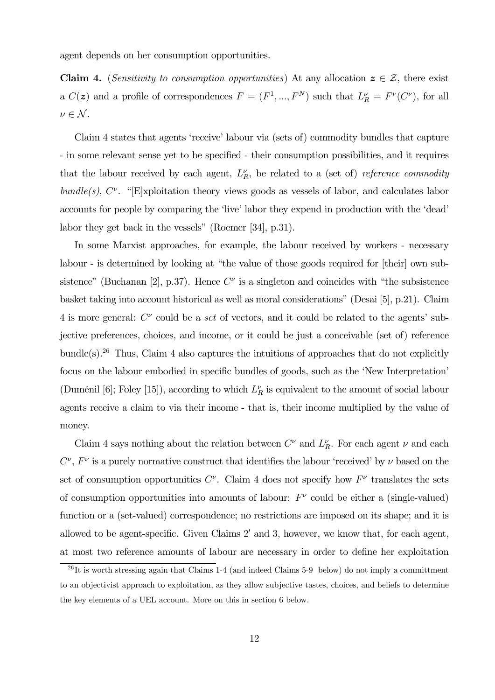agent depends on her consumption opportunities.

Claim 4. (Sensitivity to consumption opportunities) At any allocation  $z \in \mathcal{Z}$ , there exist a  $C(z)$  and a profile of correspondences  $F = (F^1, ..., F^N)$  such that  $L_R^{\nu} = F^{\nu}(C^{\nu})$ , for all  $\nu \in \mathcal{N}$ .

Claim 4 states that agents 'receive' labour via (sets of) commodity bundles that capture - in some relevant sense yet to be specified - their consumption possibilities, and it requires that the labour received by each agent,  $L_R^{\nu}$ , be related to a (set of) *reference commodity* bundle(s),  $C^{\nu}$ . "[E]xploitation theory views goods as vessels of labor, and calculates labor accounts for people by comparing the 'live' labor they expend in production with the 'dead' labor they get back in the vessels" (Roemer [34], p.31).

In some Marxist approaches, for example, the labour received by workers - necessary labour - is determined by looking at "the value of those goods required for [their] own subsistence" (Buchanan [2], p.37). Hence  $C^{\nu}$  is a singleton and coincides with "the subsistence basket taking into account historical as well as moral considerations" (Desai [5], p.21). Claim 4 is more general:  $C^{\nu}$  could be a set of vectors, and it could be related to the agents' subjective preferences, choices, and income, or it could be just a conceivable (set of) reference bundle(s).<sup>26</sup> Thus, Claim 4 also captures the intuitions of approaches that do not explicitly focus on the labour embodied in specific bundles of goods, such as the 'New Interpretation' (Duménil [6]; Foley [15]), according to which  $L_R^{\nu}$  is equivalent to the amount of social labour agents receive a claim to via their income - that is, their income multiplied by the value of money.

Claim 4 says nothing about the relation between  $C^{\nu}$  and  $L_R^{\nu}$ . For each agent  $\nu$  and each  $C^{\nu}$ ,  $F^{\nu}$  is a purely normative construct that identifies the labour 'received' by  $\nu$  based on the set of consumption opportunities  $C^{\nu}$ . Claim 4 does not specify how  $F^{\nu}$  translates the sets of consumption opportunities into amounts of labour:  $F^{\nu}$  could be either a (single-valued) function or a (set-valued) correspondence; no restrictions are imposed on its shape; and it is allowed to be agent-specific. Given Claims  $2'$  and 3, however, we know that, for each agent, at most two reference amounts of labour are necessary in order to define her exploitation

 $^{26}$ It is worth stressing again that Claims 1-4 (and indeed Claims 5-9 below) do not imply a committment to an objectivist approach to exploitation, as they allow subjective tastes, choices, and beliefs to determine the key elements of a UEL account. More on this in section 6 below.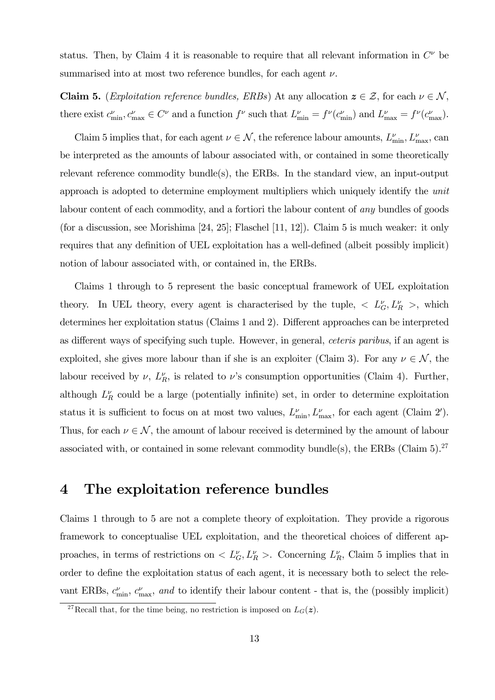status. Then, by Claim 4 it is reasonable to require that all relevant information in  $C^{\nu}$  be summarised into at most two reference bundles, for each agent  $\nu$ .

**Claim 5.** (*Exploitation reference bundles, ERBs*) At any allocation  $z \in \mathcal{Z}$ , for each  $\nu \in \mathcal{N}$ , there exist  $c_{\min}^{\nu}, c_{\max}^{\nu} \in C^{\nu}$  and a function  $f^{\nu}$  such that  $L_{\min}^{\nu} = f^{\nu}(c_{\min}^{\nu})$  and  $L_{\max}^{\nu} = f^{\nu}(c_{\max}^{\nu})$ .

Claim 5 implies that, for each agent  $\nu \in \mathcal{N}$ , the reference labour amounts,  $L_{\min}^{\nu}, L_{\max}^{\nu}$ , can be interpreted as the amounts of labour associated with, or contained in some theoretically relevant reference commodity bundle(s), the ERBs. In the standard view, an input-output approach is adopted to determine employment multipliers which uniquely identify the unit labour content of each commodity, and a fortiori the labour content of any bundles of goods (for a discussion, see Morishima [24, 25]; Flaschel [11, 12]). Claim 5 is much weaker: it only requires that any definition of UEL exploitation has a well-defined (albeit possibly implicit) notion of labour associated with, or contained in, the ERBs.

Claims 1 through to 5 represent the basic conceptual framework of UEL exploitation theory. In UEL theory, every agent is characterised by the tuple,  $\langle L_G^{\nu}, L_R^{\nu} \rangle$ , which determines her exploitation status (Claims 1 and 2). Different approaches can be interpreted as different ways of specifying such tuple. However, in general, ceteris paribus, if an agent is exploited, she gives more labour than if she is an exploiter (Claim 3). For any  $\nu \in \mathcal{N}$ , the labour received by  $\nu$ ,  $L_R^{\nu}$ , is related to  $\nu$ 's consumption opportunities (Claim 4). Further, although  $L_R^{\nu}$  could be a large (potentially infinite) set, in order to determine exploitation status it is sufficient to focus on at most two values,  $L_{\min}^{\nu}$ ,  $L_{\max}^{\nu}$ , for each agent (Claim 2'). Thus, for each  $\nu \in \mathcal{N}$ , the amount of labour received is determined by the amount of labour associated with, or contained in some relevant commodity bundle(s), the ERBs (Claim  $5$ ).<sup>27</sup>

### 4 The exploitation reference bundles

Claims 1 through to 5 are not a complete theory of exploitation. They provide a rigorous framework to conceptualise UEL exploitation, and the theoretical choices of different approaches, in terms of restrictions on  $\langle L_G^{\nu}, L_R^{\nu} \rangle$ . Concerning  $L_R^{\nu}$ , Claim 5 implies that in order to define the exploitation status of each agent, it is necessary both to select the relevant ERBs,  $c_{\min}^{\nu}$ ,  $c_{\max}^{\nu}$ , and to identify their labour content - that is, the (possibly implicit)

<sup>&</sup>lt;sup>27</sup>Recall that, for the time being, no restriction is imposed on  $L_G(z)$ .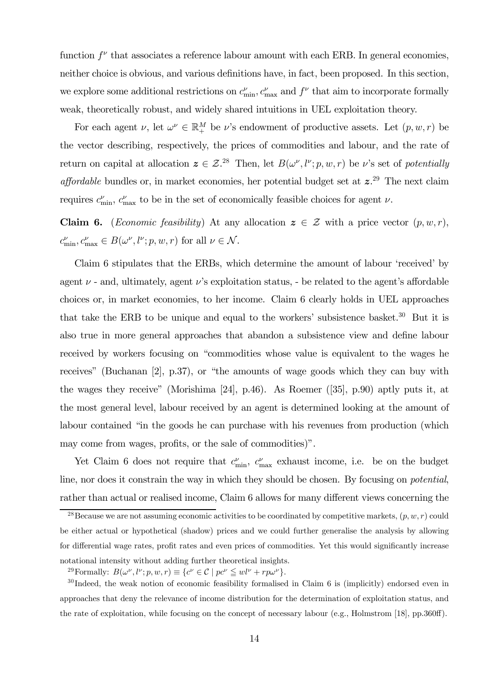function  $f^{\nu}$  that associates a reference labour amount with each ERB. In general economies, neither choice is obvious, and various definitions have, in fact, been proposed. In this section, we explore some additional restrictions on  $c_{\min}^{\nu}$ ,  $c_{\max}^{\nu}$  and  $f^{\nu}$  that aim to incorporate formally weak, theoretically robust, and widely shared intuitions in UEL exploitation theory.

For each agent  $\nu$ , let  $\omega^{\nu} \in \mathbb{R}_{+}^{M}$  be  $\nu$ 's endowment of productive assets. Let  $(p, w, r)$  be the vector describing, respectively, the prices of commodities and labour, and the rate of return on capital at allocation  $\boldsymbol{z} \in \mathcal{Z}^{28}$  Then, let  $B(\omega^{\nu}, l^{\nu}; p, w, r)$  be  $\nu$ 's set of potentially *affordable* bundles or, in market economies, her potential budget set at  $z^{29}$ . The next claim requires  $c_{\min}^{\nu}$ ,  $c_{\max}^{\nu}$  to be in the set of economically feasible choices for agent  $\nu$ .

**Claim 6.** (*Economic feasibility*) At any allocation  $z \in \mathcal{Z}$  with a price vector  $(p, w, r)$ ,  $c_{\min}^{\nu}, c_{\max}^{\nu} \in B(\omega^{\nu}, l^{\nu}; p, w, r)$  for all  $\nu \in \mathcal{N}$ .

Claim 6 stipulates that the ERBs, which determine the amount of labour 'received' by agent  $\nu$  - and, ultimately, agent  $\nu$ 's exploitation status, - be related to the agent's affordable choices or, in market economies, to her income. Claim 6 clearly holds in UEL approaches that take the ERB to be unique and equal to the workers' subsistence basket.<sup>30</sup> But it is also true in more general approaches that abandon a subsistence view and define labour received by workers focusing on "commodities whose value is equivalent to the wages he receives" (Buchanan [2], p.37), or "the amounts of wage goods which they can buy with the wages they receive" (Morishima [24], p.46). As Roemer ([35], p.90) aptly puts it, at the most general level, labour received by an agent is determined looking at the amount of labour contained "in the goods he can purchase with his revenues from production (which may come from wages, profits, or the sale of commodities)".

Yet Claim 6 does not require that  $c_{\min}^{\nu}$ ,  $c_{\max}^{\nu}$  exhaust income, i.e. be on the budget line, nor does it constrain the way in which they should be chosen. By focusing on potential, rather than actual or realised income, Claim 6 allows for many different views concerning the

<sup>&</sup>lt;sup>28</sup>Because we are not assuming economic activities to be coordinated by competitive markets,  $(p, w, r)$  could be either actual or hypothetical (shadow) prices and we could further generalise the analysis by allowing for differential wage rates, profit rates and even prices of commodities. Yet this would significantly increase notational intensity without adding further theoretical insights.

<sup>&</sup>lt;sup>29</sup>Formally:  $B(\omega^{\nu}, l^{\nu}; p, w, r) \equiv \{c^{\nu} \in C \mid pc^{\nu} \leq w l^{\nu} + r p \omega^{\nu}\}.$ 

 $30$  Indeed, the weak notion of economic feasibility formalised in Claim 6 is (implicitly) endorsed even in approaches that deny the relevance of income distribution for the determination of exploitation status, and the rate of exploitation, while focusing on the concept of necessary labour (e.g., Holmstrom [18], pp.360ff).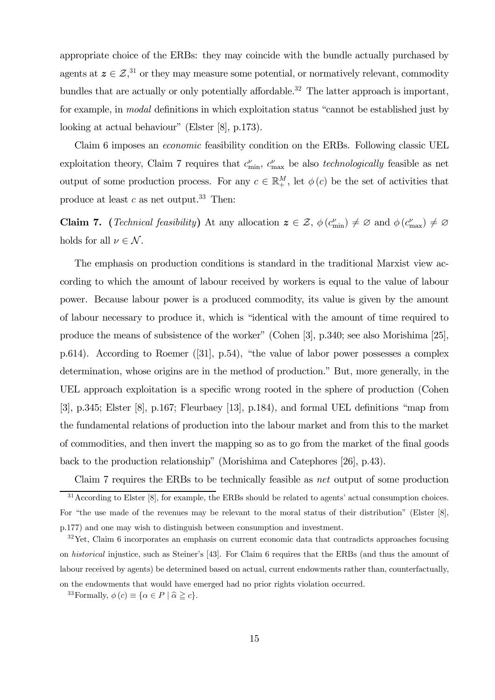appropriate choice of the ERBs: they may coincide with the bundle actually purchased by agents at  $z \in \mathcal{Z}$ ,<sup>31</sup> or they may measure some potential, or normatively relevant, commodity bundles that are actually or only potentially affordable.<sup>32</sup> The latter approach is important, for example, in modal definitions in which exploitation status "cannot be established just by looking at actual behaviour" (Elster [8], p.173).

Claim 6 imposes an economic feasibility condition on the ERBs. Following classic UEL exploitation theory, Claim 7 requires that  $c_{\min}^{\nu}$ ,  $c_{\max}^{\nu}$  be also *technologically* feasible as net output of some production process. For any  $c \in \mathbb{R}^M_+$ , let  $\phi(c)$  be the set of activities that produce at least c as net output.<sup>33</sup> Then:

**Claim 7.** (*Technical feasibility*) At any allocation  $z \in \mathcal{Z}$ ,  $\phi(c_{\min}^{\nu}) \neq \emptyset$  and  $\phi(c_{\max}^{\nu}) \neq \emptyset$ holds for all  $\nu \in \mathcal{N}$ .

The emphasis on production conditions is standard in the traditional Marxist view according to which the amount of labour received by workers is equal to the value of labour power. Because labour power is a produced commodity, its value is given by the amount of labour necessary to produce it, which is "identical with the amount of time required to produce the means of subsistence of the worker" (Cohen [3], p.340; see also Morishima [25], p.614). According to Roemer ([31], p.54), "the value of labor power possesses a complex determination, whose origins are in the method of production." But, more generally, in the UEL approach exploitation is a specific wrong rooted in the sphere of production (Cohen [3], p.345; Elster [8], p.167; Fleurbaey [13], p.184), and formal UEL definitions "map from the fundamental relations of production into the labour market and from this to the market of commodities, and then invert the mapping so as to go from the market of the final goods back to the production relationship" (Morishima and Catephores [26], p.43).

<sup>33</sup>Formally,  $\phi(c) \equiv {\alpha \in P \mid \hat{\alpha} \geq c}.$ 

Claim 7 requires the ERBs to be technically feasible as net output of some production <sup>31</sup> According to Elster [8], for example, the ERBs should be related to agents' actual consumption choices. For "the use made of the revenues may be relevant to the moral status of their distribution" (Elster [8], p.177) and one may wish to distinguish between consumption and investment.

 $32$ Yet, Claim 6 incorporates an emphasis on current economic data that contradicts approaches focusing on historical injustice, such as Steiner's [43]. For Claim 6 requires that the ERBs (and thus the amount of labour received by agents) be determined based on actual, current endowments rather than, counterfactually, on the endowments that would have emerged had no prior rights violation occurred.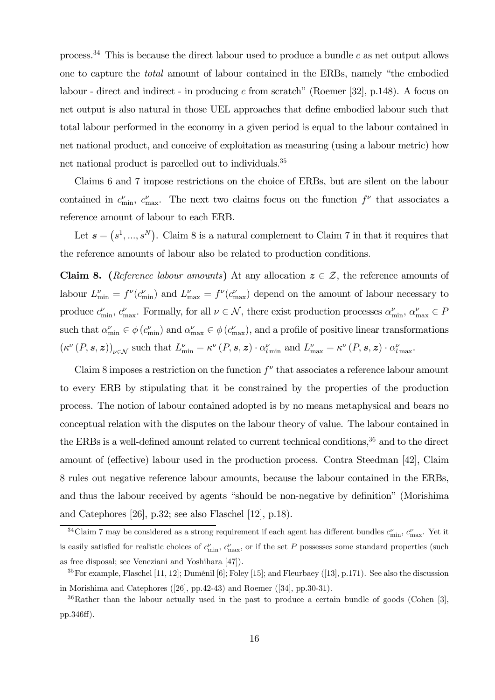process.<sup>34</sup> This is because the direct labour used to produce a bundle c as net output allows one to capture the total amount of labour contained in the ERBs, namely "the embodied labour - direct and indirect - in producing c from scratch" (Roemer [32], p.148). A focus on net output is also natural in those UEL approaches that define embodied labour such that total labour performed in the economy in a given period is equal to the labour contained in net national product, and conceive of exploitation as measuring (using a labour metric) how net national product is parcelled out to individuals.<sup>35</sup>

Claims 6 and 7 impose restrictions on the choice of ERBs, but are silent on the labour contained in  $c_{\min}^{\nu}$ ,  $c_{\max}^{\nu}$ . The next two claims focus on the function  $f^{\nu}$  that associates a reference amount of labour to each ERB.

Let  $s = (s^1, ..., s^N)$ . Claim 8 is a natural complement to Claim 7 in that it requires that the reference amounts of labour also be related to production conditions.

**Claim 8.** (Reference labour amounts) At any allocation  $z \in \mathcal{Z}$ , the reference amounts of labour  $L_{\min}^{\nu} = f^{\nu}(c_{\min}^{\nu})$  and  $L_{\max}^{\nu} = f^{\nu}(c_{\max}^{\nu})$  depend on the amount of labour necessary to produce  $c_{\min}^{\nu}$ ,  $c_{\max}^{\nu}$ . Formally, for all  $\nu \in \mathcal{N}$ , there exist production processes  $\alpha_{\min}^{\nu}$ ,  $\alpha_{\max}^{\nu} \in P$ such that  $\alpha_{\min}^{\nu} \in \phi(c_{\min}^{\nu})$  and  $\alpha_{\max}^{\nu} \in \phi(c_{\max}^{\nu})$ , and a profile of positive linear transformations  $(\kappa^{\nu}(P, \mathbf{s}, \mathbf{z}))_{\nu \in \mathcal{N}}$  such that  $L_{\min}^{\nu} = \kappa^{\nu}(P, \mathbf{s}, \mathbf{z}) \cdot \alpha_{l_{\min}}^{\nu}$  and  $L_{\max}^{\nu} = \kappa^{\nu}(P, \mathbf{s}, \mathbf{z}) \cdot \alpha_{l_{\max}}^{\nu}$ .

Claim 8 imposes a restriction on the function  $f^{\nu}$  that associates a reference labour amount to every ERB by stipulating that it be constrained by the properties of the production process. The notion of labour contained adopted is by no means metaphysical and bears no conceptual relation with the disputes on the labour theory of value. The labour contained in the ERBs is a well-defined amount related to current technical conditions,<sup>36</sup> and to the direct amount of (effective) labour used in the production process. Contra Steedman [42], Claim 8 rules out negative reference labour amounts, because the labour contained in the ERBs, and thus the labour received by agents "should be non-negative by definition" (Morishima and Catephores [26], p.32; see also Flaschel [12], p.18).

<sup>&</sup>lt;sup>34</sup>Claim 7 may be considered as a strong requirement if each agent has different bundles  $c_{\min}^{\nu}$ ,  $c_{\max}^{\nu}$ . Yet it is easily satisfied for realistic choices of  $c_{\min}^{\nu}$ ,  $c_{\max}^{\nu}$ , or if the set P possesses some standard properties (such as free disposal; see Veneziani and Yoshihara [47]).

 $35$  For example, Flaschel [11, 12]; Duménil [6]; Foley [15]; and Fleurbaey ([13], p.171). See also the discussion in Morishima and Catephores ([26], pp.42-43) and Roemer ([34], pp.30-31).

 $36$ Rather than the labour actually used in the past to produce a certain bundle of goods (Cohen [3], pp.346ff).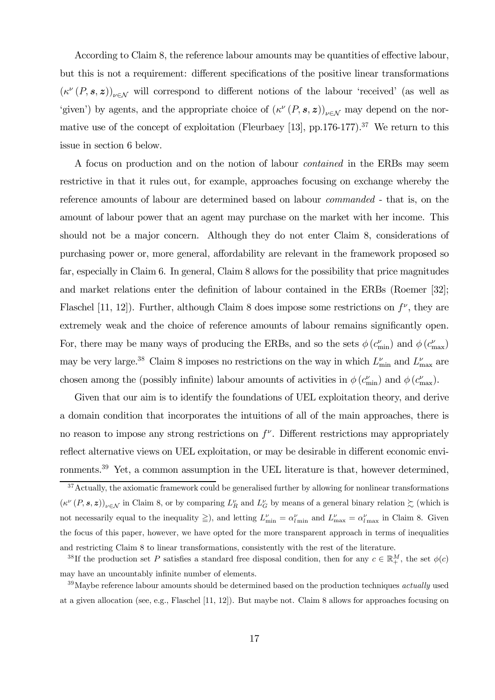According to Claim 8, the reference labour amounts may be quantities of effective labour, but this is not a requirement: different specifications of the positive linear transformations  $(\kappa^{\nu}(P, s, z))_{\nu \in \mathcal{N}}$  will correspond to different notions of the labour 'received' (as well as 'given') by agents, and the appropriate choice of  $(\kappa^{\nu}(P, s, z))_{\nu \in \mathcal{N}}$  may depend on the normative use of the concept of exploitation (Fleurbaey [13], pp.176-177).<sup>37</sup> We return to this issue in section 6 below.

A focus on production and on the notion of labour contained in the ERBs may seem restrictive in that it rules out, for example, approaches focusing on exchange whereby the reference amounts of labour are determined based on labour commanded - that is, on the amount of labour power that an agent may purchase on the market with her income. This should not be a major concern. Although they do not enter Claim 8, considerations of purchasing power or, more general, affordability are relevant in the framework proposed so far, especially in Claim 6. In general, Claim 8 allows for the possibility that price magnitudes and market relations enter the definition of labour contained in the ERBs (Roemer [32]; Flaschel [11, 12]). Further, although Claim 8 does impose some restrictions on  $f^{\nu}$ , they are extremely weak and the choice of reference amounts of labour remains significantly open. For, there may be many ways of producing the ERBs, and so the sets  $\phi$  ( $c_{\min}^{\nu}$ ) and  $\phi$  ( $c_{\max}^{\nu}$ ) may be very large.<sup>38</sup> Claim 8 imposes no restrictions on the way in which  $L_{\min}^{\nu}$  and  $L_{\max}^{\nu}$  are chosen among the (possibly infinite) labour amounts of activities in  $\phi$  ( $c_{\min}^{\nu}$ ) and  $\phi$  ( $c_{\max}^{\nu}$ ).

Given that our aim is to identify the foundations of UEL exploitation theory, and derive a domain condition that incorporates the intuitions of all of the main approaches, there is no reason to impose any strong restrictions on  $f^{\nu}$ . Different restrictions may appropriately reflect alternative views on UEL exploitation, or may be desirable in different economic environments.<sup>39</sup> Yet, a common assumption in the UEL literature is that, however determined,

 $37$ Actually, the axiomatic framework could be generalised further by allowing for nonlinear transformations  $(\kappa^{\nu}(P, s, z))_{\nu \in \mathcal{N}}$  in Claim 8, or by comparing  $L_R^{\nu}$  and  $L_G^{\nu}$  by means of a general binary relation  $\succsim$  (which is not necessarily equal to the inequality  $\geq$ ), and letting  $L_{\min}^{\nu} = \alpha_{l \min}^{\nu}$  and  $L_{\max}^{\nu} = \alpha_{l \max}^{\nu}$  in Claim 8. Given the focus of this paper, however, we have opted for the more transparent approach in terms of inequalities and restricting Claim 8 to linear transformations, consistently with the rest of the literature.

<sup>&</sup>lt;sup>38</sup>If the production set P satisfies a standard free disposal condition, then for any  $c \in \mathbb{R}^M_+$ , the set  $\phi(c)$ may have an uncountably infinite number of elements.

 $39$ Maybe reference labour amounts should be determined based on the production techniques *actually* used at a given allocation (see, e.g., Flaschel [11, 12]). But maybe not. Claim 8 allows for approaches focusing on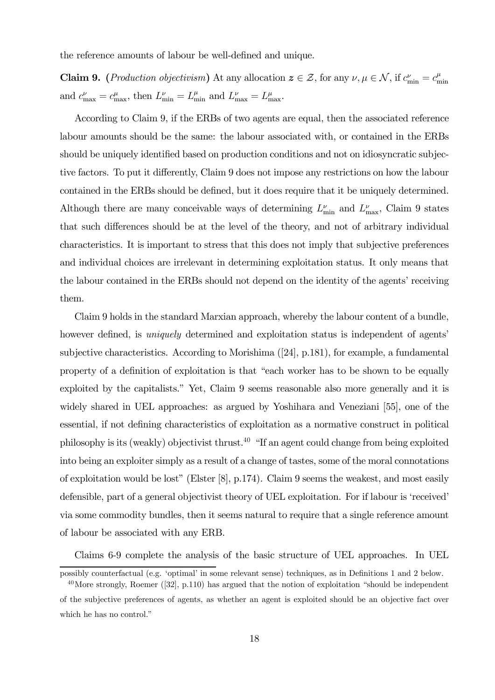the reference amounts of labour be well-defined and unique.

**Claim 9.** (*Production objectivism*) At any allocation  $\boldsymbol{z} \in \mathcal{Z}$ , for any  $\nu, \mu \in \mathcal{N}$ , if  $c_{\min}^{\nu} = c_{\min}^{\mu}$ min and  $c_{\text{max}}^{\nu} = c_{\text{max}}^{\mu}$ , then  $L_{\text{min}}^{\nu} = L_{\text{min}}^{\mu}$  and  $L_{\text{max}}^{\nu} = L_{\text{max}}^{\mu}$ .

According to Claim 9, if the ERBs of two agents are equal, then the associated reference labour amounts should be the same: the labour associated with, or contained in the ERBs should be uniquely identified based on production conditions and not on idiosyncratic subjective factors. To put it differently, Claim 9 does not impose any restrictions on how the labour contained in the ERBs should be defined, but it does require that it be uniquely determined. Although there are many conceivable ways of determining  $L_{\text{min}}^{\nu}$  and  $L_{\text{max}}^{\nu}$ , Claim 9 states that such differences should be at the level of the theory, and not of arbitrary individual characteristics. It is important to stress that this does not imply that subjective preferences and individual choices are irrelevant in determining exploitation status. It only means that the labour contained in the ERBs should not depend on the identity of the agents' receiving them.

Claim 9 holds in the standard Marxian approach, whereby the labour content of a bundle, however defined, is *uniquely* determined and exploitation status is independent of agents' subjective characteristics. According to Morishima ([24], p.181), for example, a fundamental property of a definition of exploitation is that "each worker has to be shown to be equally exploited by the capitalists." Yet, Claim 9 seems reasonable also more generally and it is widely shared in UEL approaches: as argued by Yoshihara and Veneziani [55], one of the essential, if not defining characteristics of exploitation as a normative construct in political philosophy is its (weakly) objectivist thrust.<sup>40</sup> "If an agent could change from being exploited into being an exploiter simply as a result of a change of tastes, some of the moral connotations of exploitation would be lost" (Elster [8], p.174). Claim 9 seems the weakest, and most easily defensible, part of a general objectivist theory of UEL exploitation. For if labour is 'received' via some commodity bundles, then it seems natural to require that a single reference amount of labour be associated with any ERB.

Claims 6-9 complete the analysis of the basic structure of UEL approaches. In UEL

which he has no control."

possibly counterfactual (e.g. 'optimal' in some relevant sense) techniques, as in Definitions 1 and 2 below.  $40$ More strongly, Roemer ([32], p.110) has argued that the notion of exploitation "should be independent of the subjective preferences of agents, as whether an agent is exploited should be an objective fact over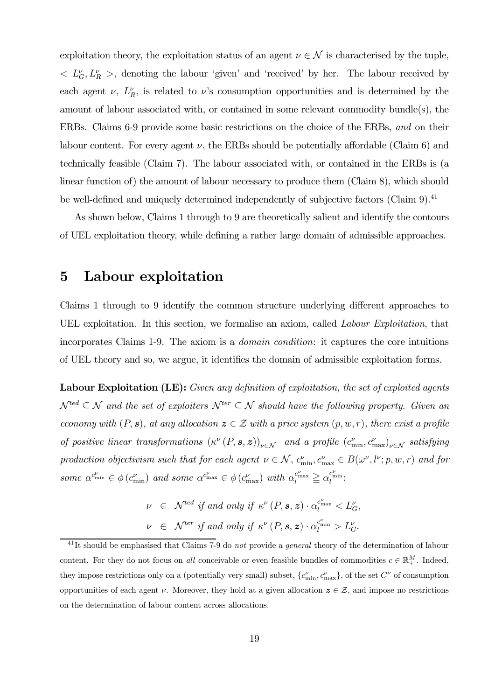exploitation theory, the exploitation status of an agent  $\nu \in \mathcal{N}$  is characterised by the tuple,  $\langle L_G^{\nu}, L_R^{\nu} \rangle$ , denoting the labour 'given' and 'received' by her. The labour received by each agent  $\nu$ ,  $L_R^{\nu}$ , is related to  $\nu$ 's consumption opportunities and is determined by the amount of labour associated with, or contained in some relevant commodity bundle(s), the ERBs. Claims 6-9 provide some basic restrictions on the choice of the ERBs, and on their labour content. For every agent  $\nu$ , the ERBs should be potentially affordable (Claim 6) and technically feasible (Claim 7). The labour associated with, or contained in the ERBs is (a linear function of) the amount of labour necessary to produce them (Claim 8), which should be well-defined and uniquely determined independently of subjective factors (Claim 9).<sup>41</sup>

As shown below, Claims 1 through to 9 are theoretically salient and identify the contours of UEL exploitation theory, while defining a rather large domain of admissible approaches.

#### 5 Labour exploitation

Claims 1 through to 9 identify the common structure underlying different approaches to UEL exploitation. In this section, we formalise an axiom, called Labour Exploitation, that incorporates Claims 1-9. The axiom is a domain condition: it captures the core intuitions of UEL theory and so, we argue, it identifies the domain of admissible exploitation forms.

Labour Exploitation (LE): Given any definition of exploitation, the set of exploited agents  $\mathcal{N}^{ted} \subseteq \mathcal{N}$  and the set of exploiters  $\mathcal{N}^{ter} \subseteq \mathcal{N}$  should have the following property. Given an economy with  $(P, s)$ , at any allocation  $z \in \mathcal{Z}$  with a price system  $(p, w, r)$ , there exist a profile of positive linear transformations  $(\kappa^{\nu}(P, \mathbf{s}, \mathbf{z}))_{\nu \in \mathcal{N}}$  and a profile  $(c_{\min}^{\nu}, c_{\max}^{\nu})_{\nu \in \mathcal{N}}$  satisfying production objectivism such that for each agent  $\nu \in \mathcal{N}$ ,  $c_{\min}^{\nu}, c_{\max}^{\nu} \in B(\omega^{\nu}, l^{\nu}; p, w, r)$  and for some  $\alpha^{c_{\min}^{\nu}} \in \phi(c_{\min}^{\nu})$  and some  $\alpha^{c_{\max}^{\nu}} \in \phi(c_{\max}^{\nu})$  with  $\alpha_{l}^{c_{\max}^{\nu}} \geq \alpha_{l}^{c_{\min}^{\nu}}$ :

$$
\nu \in \mathcal{N}^{ted} \text{ if and only if } \kappa^{\nu}(P, \mathbf{s}, \mathbf{z}) \cdot \alpha_l^{c_{\max}^{\nu}} < L_G^{\nu},
$$
\n
$$
\nu \in \mathcal{N}^{ter} \text{ if and only if } \kappa^{\nu}(P, \mathbf{s}, \mathbf{z}) \cdot \alpha_l^{c_{\min}^{\nu}} > L_G^{\nu}.
$$

 $^{41}$ It should be emphasised that Claims 7-9 do not provide a general theory of the determination of labour content. For they do not focus on all conceivable or even feasible bundles of commodities  $c \in \mathbb{R}^M_+$ . Indeed, they impose restrictions only on a (potentially very small) subset,  $\{c_{\min}^{\nu}, c_{\max}^{\nu}\}$ , of the set  $C^{\nu}$  of consumption opportunities of each agent  $\nu$ . Moreover, they hold at a given allocation  $z \in \mathcal{Z}$ , and impose no restrictions on the determination of labour content across allocations.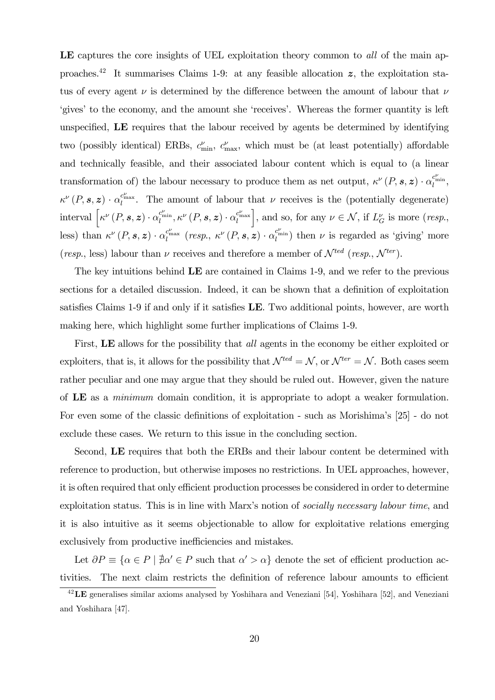LE captures the core insights of UEL exploitation theory common to all of the main approaches.<sup>42</sup> It summarises Claims 1-9: at any feasible allocation  $z$ , the exploitation status of every agent  $\nu$  is determined by the difference between the amount of labour that  $\nu$ 'gives' to the economy, and the amount she 'receives'. Whereas the former quantity is left unspecified, LE requires that the labour received by agents be determined by identifying two (possibly identical) ERBs,  $c_{\min}^{\nu}$ ,  $c_{\max}^{\nu}$ , which must be (at least potentially) affordable and technically feasible, and their associated labour content which is equal to (a linear transformation of) the labour necessary to produce them as net output,  $\kappa^{\nu}(P, \mathbf{s}, \mathbf{z}) \cdot \alpha_l^{c_{\min}^{\nu}},$  $\kappa^{\nu}(P, \mathbf{s}, \mathbf{z}) \cdot \alpha_l^{c_{\max}^{\nu}}$ . The amount of labour that  $\nu$  receives is the (potentially degenerate) interval  $\Big[\kappa^{\nu}\left(P,\bm{s},\bm{z}\right)\cdot\alpha_{l}^{c^{\nu}_{\min}},\kappa^{\nu}\left(P,\bm{s},\bm{z}\right)\cdot\alpha_{l}^{c^{\nu}_{\max}}$ , and so, for any  $\nu \in \mathcal{N}$ , if  $L_G^{\nu}$  is more (resp., less) than  $\kappa^{\nu}(P, s, z) \cdot \alpha_l^{c_{\max}^{\nu}}$  (resp.,  $\kappa^{\nu}(P, s, z) \cdot \alpha_l^{c_{\min}^{\nu}}$ ) then  $\nu$  is regarded as 'giving' more (resp., less) labour than  $\nu$  receives and therefore a member of  $\mathcal{N}^{ted}$  (resp.,  $\mathcal{N}^{ter}$ ).

The key intuitions behind LE are contained in Claims 1-9, and we refer to the previous sections for a detailed discussion. Indeed, it can be shown that a definition of exploitation satisfies Claims 1-9 if and only if it satisfies LE. Two additional points, however, are worth making here, which highlight some further implications of Claims 1-9.

First, LE allows for the possibility that *all* agents in the economy be either exploited or exploiters, that is, it allows for the possibility that  $\mathcal{N}^{ted} = \mathcal{N}$ , or  $\mathcal{N}^{ter} = \mathcal{N}$ . Both cases seem rather peculiar and one may argue that they should be ruled out. However, given the nature of LE as a minimum domain condition, it is appropriate to adopt a weaker formulation. For even some of the classic definitions of exploitation - such as Morishima's [25] - do not exclude these cases. We return to this issue in the concluding section.

Second, LE requires that both the ERBs and their labour content be determined with reference to production, but otherwise imposes no restrictions. In UEL approaches, however, it is often required that only efficient production processes be considered in order to determine exploitation status. This is in line with Marx's notion of socially necessary labour time, and it is also intuitive as it seems objectionable to allow for exploitative relations emerging exclusively from productive inefficiencies and mistakes.

Let  $\partial P \equiv {\alpha \in P \mid \nexists \alpha' \in P \text{ such that } \alpha' > \alpha}$  denote the set of efficient production activities. The next claim restricts the definition of reference labour amounts to efficient

 $^{42}$ **LE** generalises similar axioms analysed by Yoshihara and Veneziani [54], Yoshihara [52], and Veneziani and Yoshihara [47].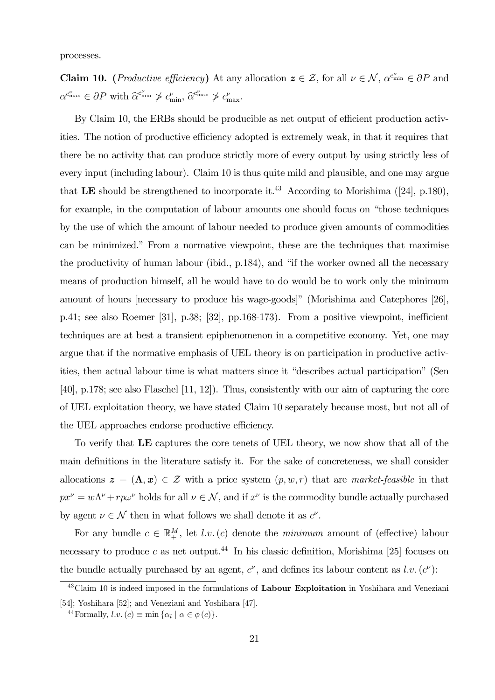processes.

**Claim 10.** (*Productive efficiency*) At any allocation  $z \in \mathcal{Z}$ , for all  $\nu \in \mathcal{N}$ ,  $\alpha^{c_{\min}} \in \partial P$  and  $\alpha^{c_{\max}^{\nu}} \in \partial P$  with  $\widehat{\alpha}^{c_{\min}^{\nu}} \not> c_{\min}^{\nu}, \widehat{\alpha}^{c_{\max}^{\nu}} \not> c_{\max}^{\nu}.$ 

By Claim 10, the ERBs should be producible as net output of efficient production activities. The notion of productive efficiency adopted is extremely weak, in that it requires that there be no activity that can produce strictly more of every output by using strictly less of every input (including labour). Claim 10 is thus quite mild and plausible, and one may argue that LE should be strengthened to incorporate it.<sup>43</sup> According to Morishima ([24], p.180), for example, in the computation of labour amounts one should focus on "those techniques by the use of which the amount of labour needed to produce given amounts of commodities can be minimized." From a normative viewpoint, these are the techniques that maximise the productivity of human labour (ibid., p.184), and "if the worker owned all the necessary means of production himself, all he would have to do would be to work only the minimum amount of hours [necessary to produce his wage-goods]" (Morishima and Catephores [26], p.41; see also Roemer [31], p.38; [32], pp.168-173). From a positive viewpoint, inefficient techniques are at best a transient epiphenomenon in a competitive economy. Yet, one may argue that if the normative emphasis of UEL theory is on participation in productive activities, then actual labour time is what matters since it "describes actual participation" (Sen [40], p.178; see also Flaschel [11, 12]). Thus, consistently with our aim of capturing the core of UEL exploitation theory, we have stated Claim 10 separately because most, but not all of the UEL approaches endorse productive efficiency.

To verify that LE captures the core tenets of UEL theory, we now show that all of the main definitions in the literature satisfy it. For the sake of concreteness, we shall consider allocations  $\boldsymbol{z} = (\boldsymbol{\Lambda}, \boldsymbol{x}) \in \mathcal{Z}$  with a price system  $(p, w, r)$  that are market-feasible in that  $px^{\nu} = w\Lambda^{\nu} + r\mu\omega^{\nu}$  holds for all  $\nu \in \mathcal{N}$ , and if  $x^{\nu}$  is the commodity bundle actually purchased by agent  $\nu \in \mathcal{N}$  then in what follows we shall denote it as  $c^{\nu}$ .

For any bundle  $c \in \mathbb{R}^M_+$ , let l.v. (c) denote the minimum amount of (effective) labour necessary to produce c as net output.<sup>44</sup> In his classic definition, Morishima [25] focuses on the bundle actually purchased by an agent,  $c^{\nu}$ , and defines its labour content as  $l.v. (c^{\nu})$ :

 $^{43}$ Claim 10 is indeed imposed in the formulations of Labour Exploitation in Yoshihara and Veneziani [54]; Yoshihara [52]; and Veneziani and Yoshihara [47].

<sup>&</sup>lt;sup>44</sup>Formally,  $l.v. (c) \equiv \min{\{\alpha_l \mid \alpha \in \phi(c)\}}$ .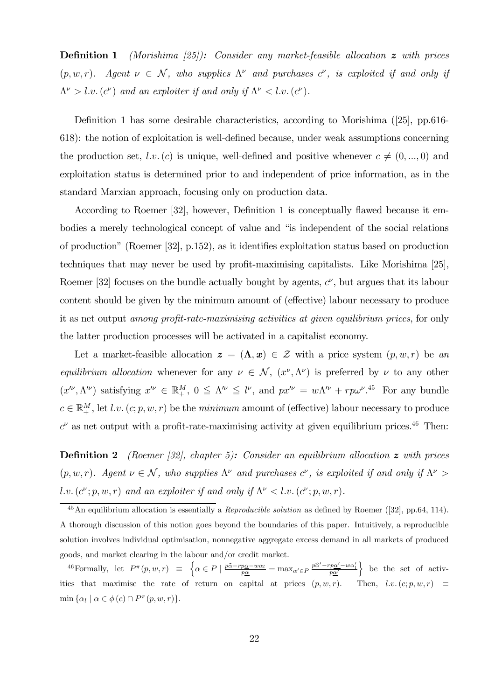**Definition 1** (Morishima  $(25)$ ): Consider any market-feasible allocation z with prices  $(p, w, r)$ . Agent  $\nu \in \mathcal{N}$ , who supplies  $\Lambda^{\nu}$  and purchases  $c^{\nu}$ , is exploited if and only if  $\Lambda^{\nu} > l.v. (c^{\nu})$  and an exploiter if and only if  $\Lambda^{\nu} < l.v. (c^{\nu})$ .

Definition 1 has some desirable characteristics, according to Morishima ([25], pp.616- 618): the notion of exploitation is well-defined because, under weak assumptions concerning the production set, l.v. (c) is unique, well-defined and positive whenever  $c \neq (0, ..., 0)$  and exploitation status is determined prior to and independent of price information, as in the standard Marxian approach, focusing only on production data.

According to Roemer [32], however, Definition 1 is conceptually flawed because it embodies a merely technological concept of value and "is independent of the social relations of production" (Roemer [32], p.152), as it identifies exploitation status based on production techniques that may never be used by profit-maximising capitalists. Like Morishima [25], Roemer [32] focuses on the bundle actually bought by agents,  $c^{\nu}$ , but argues that its labour content should be given by the minimum amount of (effective) labour necessary to produce it as net output among profit-rate-maximising activities at given equilibrium prices, for only the latter production processes will be activated in a capitalist economy.

Let a market-feasible allocation  $\boldsymbol{z} = (\boldsymbol{\Lambda}, \boldsymbol{x}) \in \mathcal{Z}$  with a price system  $(p, w, r)$  be an equilibrium allocation whenever for any  $\nu \in \mathcal{N}$ ,  $(x^{\nu}, \Lambda^{\nu})$  is preferred by  $\nu$  to any other  $(x''', \Lambda'')$  satisfying  $x'' \in \mathbb{R}^M_+$ ,  $0 \leq \Lambda'' \leq l'$ , and  $px'' = w\Lambda'' + rp\omega''$ .<sup>45</sup> For any bundle  $c \in \mathbb{R}^M_+$ , let l.v.  $(c; p, w, r)$  be the *minimum* amount of (effective) labour necessary to produce  $c^{\nu}$  as net output with a profit-rate-maximising activity at given equilibrium prices.<sup>46</sup> Then:

**Definition 2** (Roemer [32], chapter 5): Consider an equilibrium allocation  $z$  with prices  $(p, w, r)$ . Agent  $\nu \in \mathcal{N}$ , who supplies  $\Lambda^{\nu}$  and purchases  $c^{\nu}$ , is exploited if and only if  $\Lambda^{\nu} >$ l.v. $(c^{\nu}; p, w, r)$  and an exploiter if and only if  $\Lambda^{\nu} < l.v.$   $(c^{\nu}; p, w, r)$ .

 $^{45}$ An equilibrium allocation is essentially a *Reproducible solution* as defined by Roemer ([32], pp.64, 114). A thorough discussion of this notion goes beyond the boundaries of this paper. Intuitively, a reproducible solution involves individual optimisation, nonnegative aggregate excess demand in all markets of produced goods, and market clearing in the labour and/or credit market.

<sup>&</sup>lt;sup>46</sup>Formally, let  $P^{\pi}(p, w, r) \equiv \begin{cases} \alpha \in P \mid \frac{p\hat{\alpha} - rp\alpha - w\alpha_l}{p\alpha} = \max_{\alpha' \in P} \frac{p\hat{\alpha}' - rp\alpha' - w\alpha_l}{p\alpha'} \end{cases}$ } be the set of activities that maximise the rate of return on capital at prices  $(p, w, r)$ . Then, l.v. $(c; p, w, r) \equiv$ min  $\{\alpha_l \mid \alpha \in \phi(c) \cap P^{\pi}(p, w, r)\}.$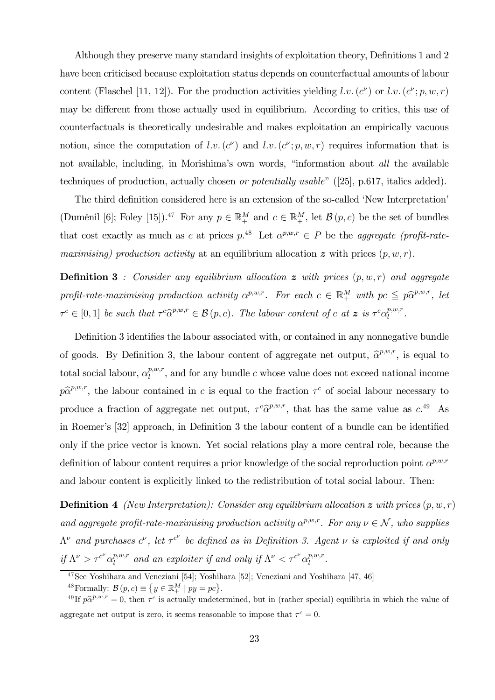Although they preserve many standard insights of exploitation theory, Definitions 1 and 2 have been criticised because exploitation status depends on counterfactual amounts of labour content (Flaschel [11, 12]). For the production activities yielding l.v.  $(c^{\nu})$  or l.v.  $(c^{\nu}; p, w, r)$ may be different from those actually used in equilibrium. According to critics, this use of counterfactuals is theoretically undesirable and makes exploitation an empirically vacuous notion, since the computation of l.v.(c<sup>v</sup>) and l.v.(c<sup>v</sup>; p, w, r) requires information that is not available, including, in Morishima's own words, "information about all the available techniques of production, actually chosen or potentially usable" ([25], p.617, italics added).

The third definition considered here is an extension of the so-called 'New Interpretation' (Duménil [6]; Foley [15]).<sup>47</sup> For any  $p \in \mathbb{R}^M_+$  and  $c \in \mathbb{R}^M_+$ , let  $\mathcal{B}(p, c)$  be the set of bundles that cost exactly as much as c at prices  $p^{48}$ . Let  $\alpha^{p,w,r} \in P$  be the *aggregate (profit-rate*maximising) production activity at an equilibrium allocation  $\boldsymbol{z}$  with prices  $(p, w, r)$ .

**Definition 3** : Consider any equilibrium allocation  $\boldsymbol{z}$  with prices  $(p, w, r)$  and aggregate profit-rate-maximising production activity  $\alpha^{p,w,r}$ . For each  $c \in \mathbb{R}^M_+$  with  $pc \leq p\hat{\alpha}^{p,w,r}$ , let  $\tau^c \in [0,1]$  be such that  $\tau^c \widehat{\alpha}^{p,w,r} \in \mathcal{B}(p,c)$ . The labour content of c at  $z$  is  $\tau^c \alpha_l^{p,w,r}$ .

Definition 3 identifies the labour associated with, or contained in any nonnegative bundle of goods. By Definition 3, the labour content of aggregate net output,  $\hat{\alpha}^{p,w,r}$ , is equal to total social labour,  $\alpha_l^{p,w,r}$ , and for any bundle c whose value does not exceed national income  $p\hat{\alpha}^{p,w,r}$ , the labour contained in c is equal to the fraction  $\tau^c$  of social labour necessary to produce a fraction of aggregate net output,  $\tau^c \hat{\alpha}^{p,w,r}$ , that has the same value as  $c^{49}$ . As in Roemer's [32] approach, in Definition 3 the labour content of a bundle can be identified only if the price vector is known. Yet social relations play a more central role, because the definition of labour content requires a prior knowledge of the social reproduction point  $\alpha^{p,w,r}$ and labour content is explicitly linked to the redistribution of total social labour. Then:

**Definition 4** (New Interpretation): Consider any equilibrium allocation  $\boldsymbol{z}$  with prices  $(p, w, r)$ and aggregate profit-rate-maximising production activity  $\alpha^{p,w,r}$ . For any  $\nu \in \mathcal{N}$ , who supplies  $\Lambda^{\nu}$  and purchases  $c^{\nu}$ , let  $\tau^{c^{\nu}}$  be defined as in Definition 3. Agent  $\nu$  is exploited if and only if  $\Lambda^{\nu} > \tau^{c^{\nu}} \alpha_l^{p,w,r}$  and an exploiter if and only if  $\Lambda^{\nu} < \tau^{c^{\nu}} \alpha_l^{p,w,r}$ .

<sup>47</sup>See Yoshihara and Veneziani [54]; Yoshihara [52]; Veneziani and Yoshihara [47, 46]

<sup>&</sup>lt;sup>48</sup> Formally:  $\mathcal{B}(p, c) \equiv \{y \in \mathbb{R}^M_+ \mid py = pc\}.$ 

<sup>&</sup>lt;sup>49</sup> If  $p\hat{\alpha}^{p,w,r} = 0$ , then  $\tau^c$  is actually undetermined, but in (rather special) equilibria in which the value of aggregate net output is zero, it seems reasonable to impose that  $\tau^c = 0$ .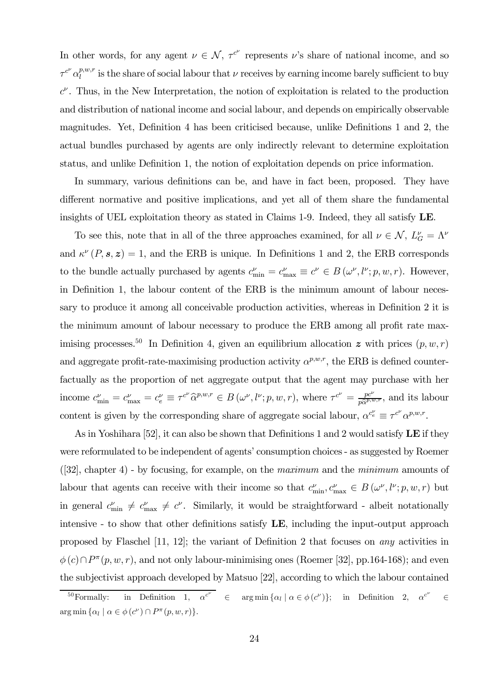In other words, for any agent  $\nu \in \mathcal{N}$ ,  $\tau^{c^{\nu}}$  represents  $\nu$ 's share of national income, and so  $\tau^{c} \alpha_l^{p,w,r}$  is the share of social labour that  $\nu$  receives by earning income barely sufficient to buy  $c^{\nu}$ . Thus, in the New Interpretation, the notion of exploitation is related to the production and distribution of national income and social labour, and depends on empirically observable magnitudes. Yet, Definition 4 has been criticised because, unlike Definitions 1 and 2, the actual bundles purchased by agents are only indirectly relevant to determine exploitation status, and unlike Definition 1, the notion of exploitation depends on price information.

In summary, various definitions can be, and have in fact been, proposed. They have different normative and positive implications, and yet all of them share the fundamental insights of UEL exploitation theory as stated in Claims 1-9. Indeed, they all satisfy LE.

To see this, note that in all of the three approaches examined, for all  $\nu \in \mathcal{N}$ ,  $L_G^{\nu} = \Lambda^{\nu}$ and  $\kappa^{\nu}(P, s, z)=1$ , and the ERB is unique. In Definitions 1 and 2, the ERB corresponds to the bundle actually purchased by agents  $c_{\min}^{\nu} = c_{\max}^{\nu} \equiv c^{\nu} \in B(\omega^{\nu}, l^{\nu}; p, w, r)$ . However, in Definition 1, the labour content of the ERB is the minimum amount of labour necessary to produce it among all conceivable production activities, whereas in Definition 2 it is the minimum amount of labour necessary to produce the ERB among all profit rate maximising processes.<sup>50</sup> In Definition 4, given an equilibrium allocation z with prices  $(p, w, r)$ and aggregate profit-rate-maximising production activity  $\alpha^{p,w,r}$ , the ERB is defined counterfactually as the proportion of net aggregate output that the agent may purchase with her income  $c_{\min}^{\nu} = c_{\max}^{\nu} = c_{e}^{\nu} \equiv \tau^{c^{\nu}} \widehat{\alpha}^{p,w,r} \in B(\omega^{\nu}, l^{\nu}; p, w, r)$ , where  $\tau^{c^{\nu}} = \frac{pc^{\nu}}{p\widehat{\alpha}^{p,w,r}}$ , and its labour content is given by the corresponding share of aggregate social labour,  $\alpha^{c_e^{\nu}} \equiv \tau^{c^{\nu}} \alpha^{p,w,r}$ .

As in Yoshihara [52], it can also be shown that Definitions 1 and 2 would satisfy  $\bf{LE}$  if they were reformulated to be independent of agents' consumption choices - as suggested by Roemer ([32], chapter 4) - by focusing, for example, on the maximum and the minimum amounts of labour that agents can receive with their income so that  $c_{\min}^{\nu}, c_{\max}^{\nu} \in B(\omega^{\nu}, l^{\nu}; p, w, r)$  but in general  $c_{\min}^{\nu} \neq c_{\max}^{\nu} \neq c^{\nu}$ . Similarly, it would be straightforward - albeit notationally intensive - to show that other definitions satisfy LE, including the input-output approach proposed by Flaschel [11, 12]; the variant of Definition 2 that focuses on any activities in  $\phi(c) \cap P^{\pi}(p, w, r)$ , and not only labour-minimising ones (Roemer [32], pp.164-168); and even the subjectivist approach developed by Matsuo [22], according to which the labour contained

<sup>&</sup>lt;sup>50</sup>Formally: in Definition 1,  $\alpha^{c^{\nu}} \in \arg \min \{ \alpha_l \mid \alpha \in \phi(c^{\nu}) \};$  in Definition 2,  $\alpha^{c^{\nu}}$ ∈  $\arg \min \{ \alpha_l \mid \alpha \in \phi(c^{\nu}) \cap P^{\pi}(p, w, r) \}.$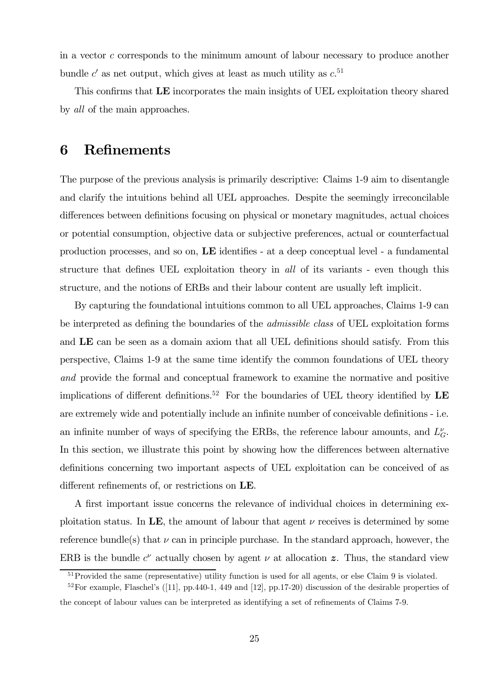in a vector c corresponds to the minimum amount of labour necessary to produce another bundle  $c'$  as net output, which gives at least as much utility as  $c^{51}$ 

This confirms that LE incorporates the main insights of UEL exploitation theory shared by all of the main approaches.

#### 6 Refinements

The purpose of the previous analysis is primarily descriptive: Claims 1-9 aim to disentangle and clarify the intuitions behind all UEL approaches. Despite the seemingly irreconcilable differences between definitions focusing on physical or monetary magnitudes, actual choices or potential consumption, objective data or subjective preferences, actual or counterfactual production processes, and so on, LE identifies - at a deep conceptual level - a fundamental structure that defines UEL exploitation theory in all of its variants - even though this structure, and the notions of ERBs and their labour content are usually left implicit.

By capturing the foundational intuitions common to all UEL approaches, Claims 1-9 can be interpreted as defining the boundaries of the *admissible class* of UEL exploitation forms and LE can be seen as a domain axiom that all UEL definitions should satisfy. From this perspective, Claims 1-9 at the same time identify the common foundations of UEL theory and provide the formal and conceptual framework to examine the normative and positive implications of different definitions.<sup>52</sup> For the boundaries of UEL theory identified by  $\mathbf{LE}$ are extremely wide and potentially include an infinite number of conceivable definitions - i.e. an infinite number of ways of specifying the ERBs, the reference labour amounts, and  $L_G^{\nu}$ . In this section, we illustrate this point by showing how the differences between alternative definitions concerning two important aspects of UEL exploitation can be conceived of as different refinements of, or restrictions on LE.

A first important issue concerns the relevance of individual choices in determining exploitation status. In LE, the amount of labour that agent  $\nu$  receives is determined by some reference bundle(s) that  $\nu$  can in principle purchase. In the standard approach, however, the ERB is the bundle  $c^{\nu}$  actually chosen by agent  $\nu$  at allocation z. Thus, the standard view

<sup>&</sup>lt;sup>51</sup>Provided the same (representative) utility function is used for all agents, or else Claim 9 is violated.

 $52$  For example, Flaschel's ([11], pp.440-1, 449 and [12], pp.17-20) discussion of the desirable properties of the concept of labour values can be interpreted as identifying a set of refinements of Claims 7-9.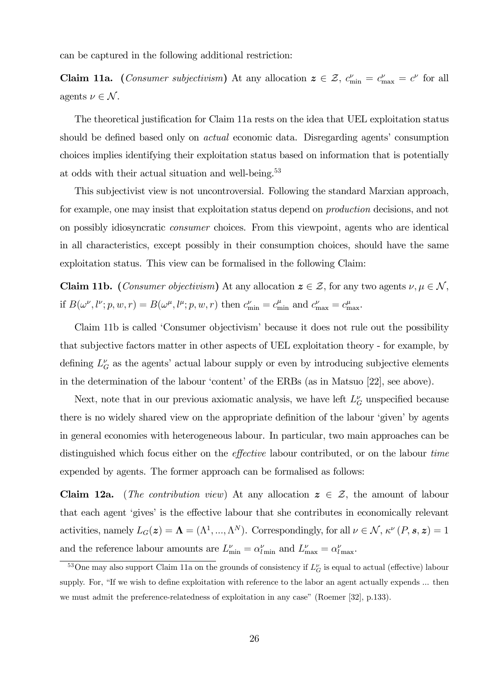can be captured in the following additional restriction:

**Claim 11a.** (*Consumer subjectivism*) At any allocation  $z \in \mathcal{Z}$ ,  $c_{\min}^{\nu} = c_{\max}^{\nu} = c^{\nu}$  for all agents  $\nu \in \mathcal{N}$ .

The theoretical justification for Claim 11a rests on the idea that UEL exploitation status should be defined based only on actual economic data. Disregarding agents' consumption choices implies identifying their exploitation status based on information that is potentially at odds with their actual situation and well-being.<sup>53</sup>

This subjectivist view is not uncontroversial. Following the standard Marxian approach, for example, one may insist that exploitation status depend on production decisions, and not on possibly idiosyncratic consumer choices. From this viewpoint, agents who are identical in all characteristics, except possibly in their consumption choices, should have the same exploitation status. This view can be formalised in the following Claim:

**Claim 11b.** (*Consumer objectivism*) At any allocation  $z \in \mathcal{Z}$ , for any two agents  $\nu, \mu \in \mathcal{N}$ , if  $B(\omega^{\nu}, l^{\nu}; p, w, r) = B(\omega^{\mu}, l^{\mu}; p, w, r)$  then  $c_{\min}^{\nu} = c_{\min}^{\mu}$  and  $c_{\max}^{\nu} = c_{\max}^{\mu}$ .

Claim 11b is called 'Consumer objectivism' because it does not rule out the possibility that subjective factors matter in other aspects of UEL exploitation theory - for example, by defining  $L_G^{\nu}$  as the agents' actual labour supply or even by introducing subjective elements in the determination of the labour 'content' of the ERBs (as in Matsuo [22], see above).

Next, note that in our previous axiomatic analysis, we have left  $L_G^{\nu}$  unspecified because there is no widely shared view on the appropriate definition of the labour 'given' by agents in general economies with heterogeneous labour. In particular, two main approaches can be distinguished which focus either on the effective labour contributed, or on the labour time expended by agents. The former approach can be formalised as follows:

**Claim 12a.** (The contribution view) At any allocation  $z \in \mathcal{Z}$ , the amount of labour that each agent 'gives' is the effective labour that she contributes in economically relevant activities, namely  $L_G(z) = \Lambda = (\Lambda^1, ..., \Lambda^N)$ . Correspondingly, for all  $\nu \in \mathcal{N}$ ,  $\kappa^{\nu}(P, s, z) = 1$ and the reference labour amounts are  $L_{\min}^{\nu} = \alpha_{l \min}^{\nu}$  and  $L_{\max}^{\nu} = \alpha_{l \max}^{\nu}$ .

<sup>&</sup>lt;sup>53</sup>One may also support Claim 11a on the grounds of consistency if  $L_G^{\nu}$  is equal to actual (effective) labour supply. For, "If we wish to define exploitation with reference to the labor an agent actually expends ... then we must admit the preference-relatedness of exploitation in any case" (Roemer [32], p.133).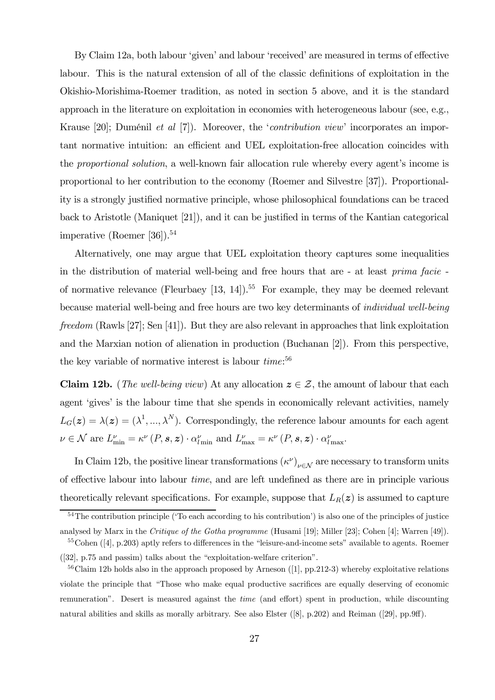By Claim 12a, both labour 'given' and labour 'received' are measured in terms of effective labour. This is the natural extension of all of the classic definitions of exploitation in the Okishio-Morishima-Roemer tradition, as noted in section 5 above, and it is the standard approach in the literature on exploitation in economies with heterogeneous labour (see, e.g., Krause [20]; Duménil et al [7]). Moreover, the 'contribution view' incorporates an important normative intuition: an efficient and UEL exploitation-free allocation coincides with the proportional solution, a well-known fair allocation rule whereby every agent's income is proportional to her contribution to the economy (Roemer and Silvestre [37]). Proportionality is a strongly justified normative principle, whose philosophical foundations can be traced back to Aristotle (Maniquet [21]), and it can be justified in terms of the Kantian categorical imperative (Roemer [36]).<sup>54</sup>

Alternatively, one may argue that UEL exploitation theory captures some inequalities in the distribution of material well-being and free hours that are - at least prima facie of normative relevance (Fleurbaey  $[13, 14]$ ).<sup>55</sup> For example, they may be deemed relevant because material well-being and free hours are two key determinants of individual well-being freedom (Rawls [27]; Sen [41]). But they are also relevant in approaches that link exploitation and the Marxian notion of alienation in production (Buchanan [2]). From this perspective, the key variable of normative interest is labour  $time$ <sup>56</sup>

**Claim 12b.** (*The well-being view*) At any allocation  $z \in \mathcal{Z}$ , the amount of labour that each agent 'gives' is the labour time that she spends in economically relevant activities, namely  $L_G(z) = \lambda(z) = (\lambda^1, ..., \lambda^N)$ . Correspondingly, the reference labour amounts for each agent  $\nu \in \mathcal{N}$  are  $L_{\min}^{\nu} = \kappa^{\nu} (P, \mathbf{s}, \mathbf{z}) \cdot \alpha_{l \min}^{\nu}$  and  $L_{\max}^{\nu} = \kappa^{\nu} (P, \mathbf{s}, \mathbf{z}) \cdot \alpha_{l \max}^{\nu}$ .

In Claim 12b, the positive linear transformations  $(\kappa^{\nu})_{\nu \in \mathcal{N}}$  are necessary to transform units of effective labour into labour time, and are left undefined as there are in principle various theoretically relevant specifications. For example, suppose that  $L_R(z)$  is assumed to capture

<sup>&</sup>lt;sup>54</sup>The contribution principle ('To each according to his contribution') is also one of the principles of justice analysed by Marx in the Critique of the Gotha programme (Husami [19]; Miller [23]; Cohen [4]; Warren [49]).

<sup>55</sup>Cohen ([4], p.203) aptly refers to differences in the "leisure-and-income sets" available to agents. Roemer ([32], p.75 and passim) talks about the "exploitation-welfare criterion".

 $56$ Claim 12b holds also in the approach proposed by Arneson ([1], pp.212-3) whereby exploitative relations violate the principle that "Those who make equal productive sacrifices are equally deserving of economic remuneration". Desert is measured against the time (and effort) spent in production, while discounting natural abilities and skills as morally arbitrary. See also Elster ([8], p.202) and Reiman ([29], pp.9ff).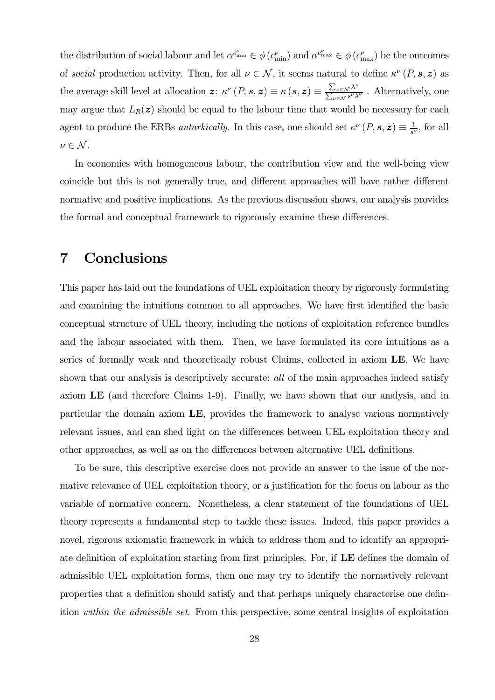the distribution of social labour and let  $\alpha^{c_{\min}^{\nu}} \in \phi(c_{\min}^{\nu})$  and  $\alpha^{c_{\max}^{\nu}} \in \phi(c_{\max}^{\nu})$  be the outcomes of social production activity. Then, for all  $\nu \in \mathcal{N}$ , it seems natural to define  $\kappa^{\nu}(P, s, z)$  as the average skill level at allocation  $\mathbf{z}$ :  $\kappa^{\nu}(P, \mathbf{s}, \mathbf{z}) \equiv \kappa(\mathbf{s}, \mathbf{z}) \equiv \frac{\sum_{\nu \in \mathcal{N}} \lambda^{\nu}}{\sum_{\nu \in \mathcal{N}} s^{\nu} \lambda^{\nu}}$ . Alternatively, one may argue that  $L_R(z)$  should be equal to the labour time that would be necessary for each agent to produce the ERBs *autarkically*. In this case, one should set  $\kappa^{\nu}(P, s, z) \equiv \frac{1}{s^{\nu}}$ , for all  $\nu \in \mathcal{N}$ .

In economies with homogeneous labour, the contribution view and the well-being view coincide but this is not generally true, and different approaches will have rather different normative and positive implications. As the previous discussion shows, our analysis provides the formal and conceptual framework to rigorously examine these differences.

### 7 Conclusions

This paper has laid out the foundations of UEL exploitation theory by rigorously formulating and examining the intuitions common to all approaches. We have first identified the basic conceptual structure of UEL theory, including the notions of exploitation reference bundles and the labour associated with them. Then, we have formulated its core intuitions as a series of formally weak and theoretically robust Claims, collected in axiom LE. We have shown that our analysis is descriptively accurate: all of the main approaches indeed satisfy axiom LE (and therefore Claims 1-9). Finally, we have shown that our analysis, and in particular the domain axiom LE, provides the framework to analyse various normatively relevant issues, and can shed light on the differences between UEL exploitation theory and other approaches, as well as on the differences between alternative UEL definitions.

To be sure, this descriptive exercise does not provide an answer to the issue of the normative relevance of UEL exploitation theory, or a justification for the focus on labour as the variable of normative concern. Nonetheless, a clear statement of the foundations of UEL theory represents a fundamental step to tackle these issues. Indeed, this paper provides a novel, rigorous axiomatic framework in which to address them and to identify an appropriate definition of exploitation starting from first principles. For, if LE defines the domain of admissible UEL exploitation forms, then one may try to identify the normatively relevant properties that a definition should satisfy and that perhaps uniquely characterise one definition within the admissible set. From this perspective, some central insights of exploitation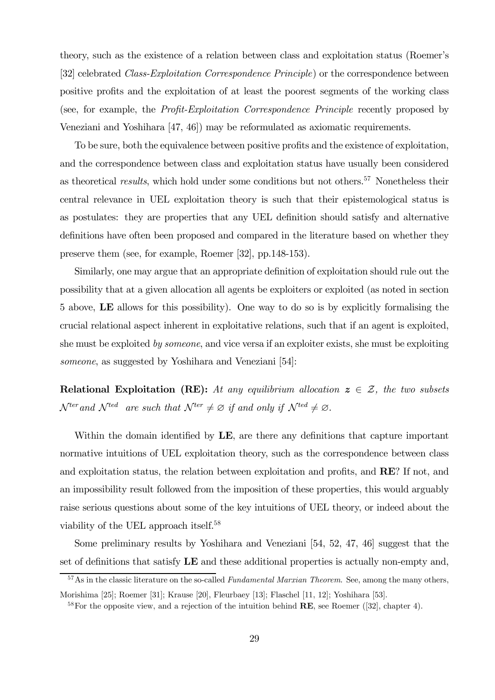theory, such as the existence of a relation between class and exploitation status (Roemer's [32] celebrated Class-Exploitation Correspondence Principle) or the correspondence between positive profits and the exploitation of at least the poorest segments of the working class (see, for example, the Profit-Exploitation Correspondence Principle recently proposed by Veneziani and Yoshihara [47, 46]) may be reformulated as axiomatic requirements.

To be sure, both the equivalence between positive profits and the existence of exploitation, and the correspondence between class and exploitation status have usually been considered as theoretical *results*, which hold under some conditions but not others.<sup>57</sup> Nonetheless their central relevance in UEL exploitation theory is such that their epistemological status is as postulates: they are properties that any UEL definition should satisfy and alternative definitions have often been proposed and compared in the literature based on whether they preserve them (see, for example, Roemer [32], pp.148-153).

Similarly, one may argue that an appropriate definition of exploitation should rule out the possibility that at a given allocation all agents be exploiters or exploited (as noted in section 5 above, LE allows for this possibility). One way to do so is by explicitly formalising the crucial relational aspect inherent in exploitative relations, such that if an agent is exploited, she must be exploited by someone, and vice versa if an exploiter exists, she must be exploiting someone, as suggested by Yoshihara and Veneziani [54]:

Relational Exploitation (RE): At any equilibrium allocation  $z \in \mathcal{Z}$ , the two subsets  $\mathcal{N}^{ter}$  and  $\mathcal{N}^{ted}$  are such that  $\mathcal{N}^{ter} \neq \emptyset$  if and only if  $\mathcal{N}^{ted} \neq \emptyset$ .

Within the domain identified by **LE**, are there any definitions that capture important normative intuitions of UEL exploitation theory, such as the correspondence between class and exploitation status, the relation between exploitation and profits, and RE? If not, and an impossibility result followed from the imposition of these properties, this would arguably raise serious questions about some of the key intuitions of UEL theory, or indeed about the viability of the UEL approach itself.58

Some preliminary results by Yoshihara and Veneziani [54, 52, 47, 46] suggest that the set of definitions that satisfy LE and these additional properties is actually non-empty and,

 $57$ As in the classic literature on the so-called *Fundamental Marxian Theorem.* See, among the many others,

Morishima [25]; Roemer [31]; Krause [20], Fleurbaey [13]; Flaschel [11, 12]; Yoshihara [53].

 $58$  For the opposite view, and a rejection of the intuition behind **RE**, see Roemer ([32], chapter 4).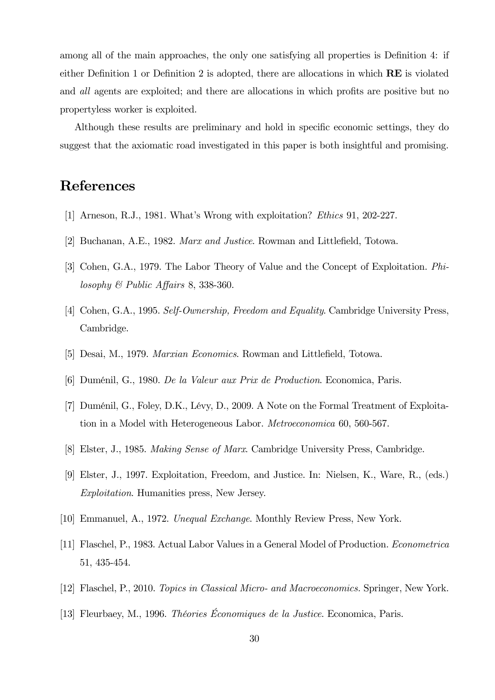among all of the main approaches, the only one satisfying all properties is Definition 4: if either Definition 1 or Definition 2 is adopted, there are allocations in which RE is violated and all agents are exploited; and there are allocations in which profits are positive but no propertyless worker is exploited.

Although these results are preliminary and hold in specific economic settings, they do suggest that the axiomatic road investigated in this paper is both insightful and promising.

### References

- [1] Arneson, R.J., 1981. What's Wrong with exploitation? Ethics 91, 202-227.
- [2] Buchanan, A.E., 1982. Marx and Justice. Rowman and Littlefield, Totowa.
- [3] Cohen, G.A., 1979. The Labor Theory of Value and the Concept of Exploitation. Philosophy & Public Affairs 8, 338-360.
- [4] Cohen, G.A., 1995. Self-Ownership, Freedom and Equality. Cambridge University Press, Cambridge.
- [5] Desai, M., 1979. Marxian Economics. Rowman and Littlefield, Totowa.
- [6] Duménil, G., 1980. De la Valeur aux Prix de Production. Economica, Paris.
- [7] Duménil, G., Foley, D.K., Lévy, D., 2009. A Note on the Formal Treatment of Exploitation in a Model with Heterogeneous Labor. Metroeconomica 60, 560-567.
- [8] Elster, J., 1985. Making Sense of Marx. Cambridge University Press, Cambridge.
- [9] Elster, J., 1997. Exploitation, Freedom, and Justice. In: Nielsen, K., Ware, R., (eds.) Exploitation. Humanities press, New Jersey.
- [10] Emmanuel, A., 1972. Unequal Exchange. Monthly Review Press, New York.
- [11] Flaschel, P., 1983. Actual Labor Values in a General Model of Production. Econometrica 51, 435-454.
- [12] Flaschel, P., 2010. Topics in Classical Micro- and Macroeconomics. Springer, New York.
- [13] Fleurbaey, M., 1996. Théories Économiques de la Justice. Economica, Paris.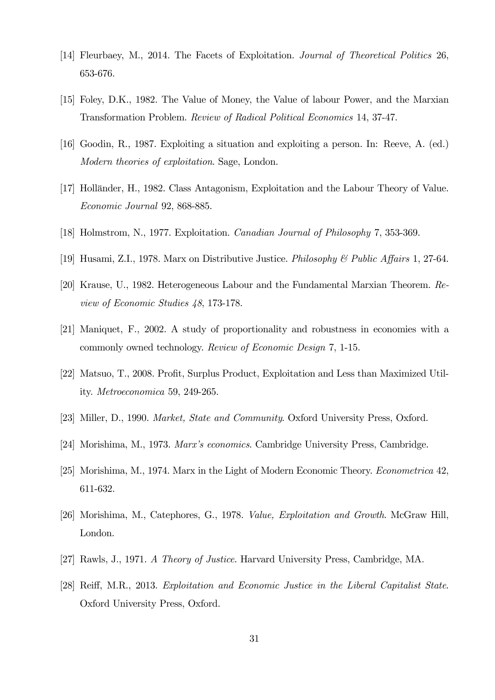- [14] Fleurbaey, M., 2014. The Facets of Exploitation. Journal of Theoretical Politics 26, 653-676.
- [15] Foley, D.K., 1982. The Value of Money, the Value of labour Power, and the Marxian Transformation Problem. Review of Radical Political Economics 14, 37-47.
- [16] Goodin, R., 1987. Exploiting a situation and exploiting a person. In: Reeve, A. (ed.) Modern theories of exploitation. Sage, London.
- [17] Holländer, H., 1982. Class Antagonism, Exploitation and the Labour Theory of Value. Economic Journal 92, 868-885.
- [18] Holmstrom, N., 1977. Exploitation. Canadian Journal of Philosophy 7, 353-369.
- [19] Husami, Z.I., 1978. Marx on Distributive Justice. Philosophy & Public Affairs 1, 27-64.
- [20] Krause, U., 1982. Heterogeneous Labour and the Fundamental Marxian Theorem. Review of Economic Studies 48, 173-178.
- [21] Maniquet, F., 2002. A study of proportionality and robustness in economies with a commonly owned technology. Review of Economic Design 7, 1-15.
- [22] Matsuo, T., 2008. Profit, Surplus Product, Exploitation and Less than Maximized Utility. Metroeconomica 59, 249-265.
- [23] Miller, D., 1990. Market, State and Community. Oxford University Press, Oxford.
- [24] Morishima, M., 1973. Marx's economics. Cambridge University Press, Cambridge.
- [25] Morishima, M., 1974. Marx in the Light of Modern Economic Theory. Econometrica 42, 611-632.
- [26] Morishima, M., Catephores, G., 1978. Value, Exploitation and Growth. McGraw Hill, London.
- [27] Rawls, J., 1971. A Theory of Justice. Harvard University Press, Cambridge, MA.
- [28] Reiff, M.R., 2013. Exploitation and Economic Justice in the Liberal Capitalist State. Oxford University Press, Oxford.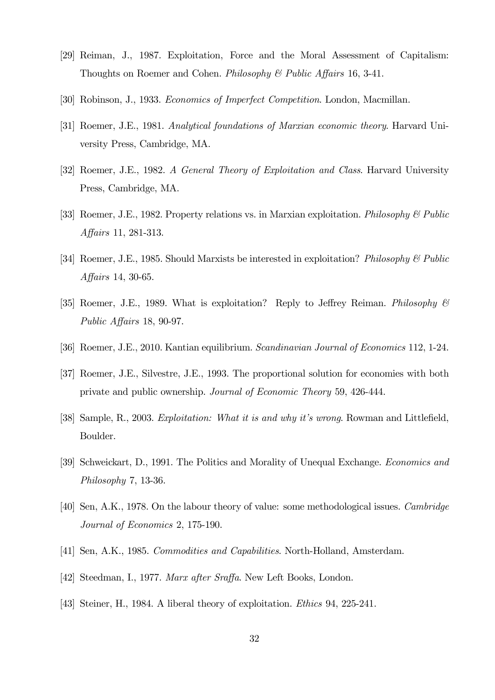- [29] Reiman, J., 1987. Exploitation, Force and the Moral Assessment of Capitalism: Thoughts on Roemer and Cohen. *Philosophy & Public Affairs* 16, 3-41.
- [30] Robinson, J., 1933. Economics of Imperfect Competition. London, Macmillan.
- [31] Roemer, J.E., 1981. Analytical foundations of Marxian economic theory. Harvard University Press, Cambridge, MA.
- [32] Roemer, J.E., 1982. A General Theory of Exploitation and Class. Harvard University Press, Cambridge, MA.
- [33] Roemer, J.E., 1982. Property relations vs. in Marxian exploitation. Philosophy & Public Affairs 11, 281-313.
- [34] Roemer, J.E., 1985. Should Marxists be interested in exploitation? Philosophy & Public Affairs 14, 30-65.
- [35] Roemer, J.E., 1989. What is exploitation? Reply to Jeffrey Reiman. Philosophy & Public Affairs 18, 90-97.
- [36] Roemer, J.E., 2010. Kantian equilibrium. Scandinavian Journal of Economics 112, 1-24.
- [37] Roemer, J.E., Silvestre, J.E., 1993. The proportional solution for economies with both private and public ownership. Journal of Economic Theory 59, 426-444.
- [38] Sample, R., 2003. Exploitation: What it is and why it's wrong. Rowman and Littlefield, Boulder.
- [39] Schweickart, D., 1991. The Politics and Morality of Unequal Exchange. Economics and Philosophy 7, 13-36.
- [40] Sen, A.K., 1978. On the labour theory of value: some methodological issues. Cambridge Journal of Economics 2, 175-190.
- [41] Sen, A.K., 1985. Commodities and Capabilities. North-Holland, Amsterdam.
- [42] Steedman, I., 1977. Marx after Sraffa. New Left Books, London.
- [43] Steiner, H., 1984. A liberal theory of exploitation. Ethics 94, 225-241.